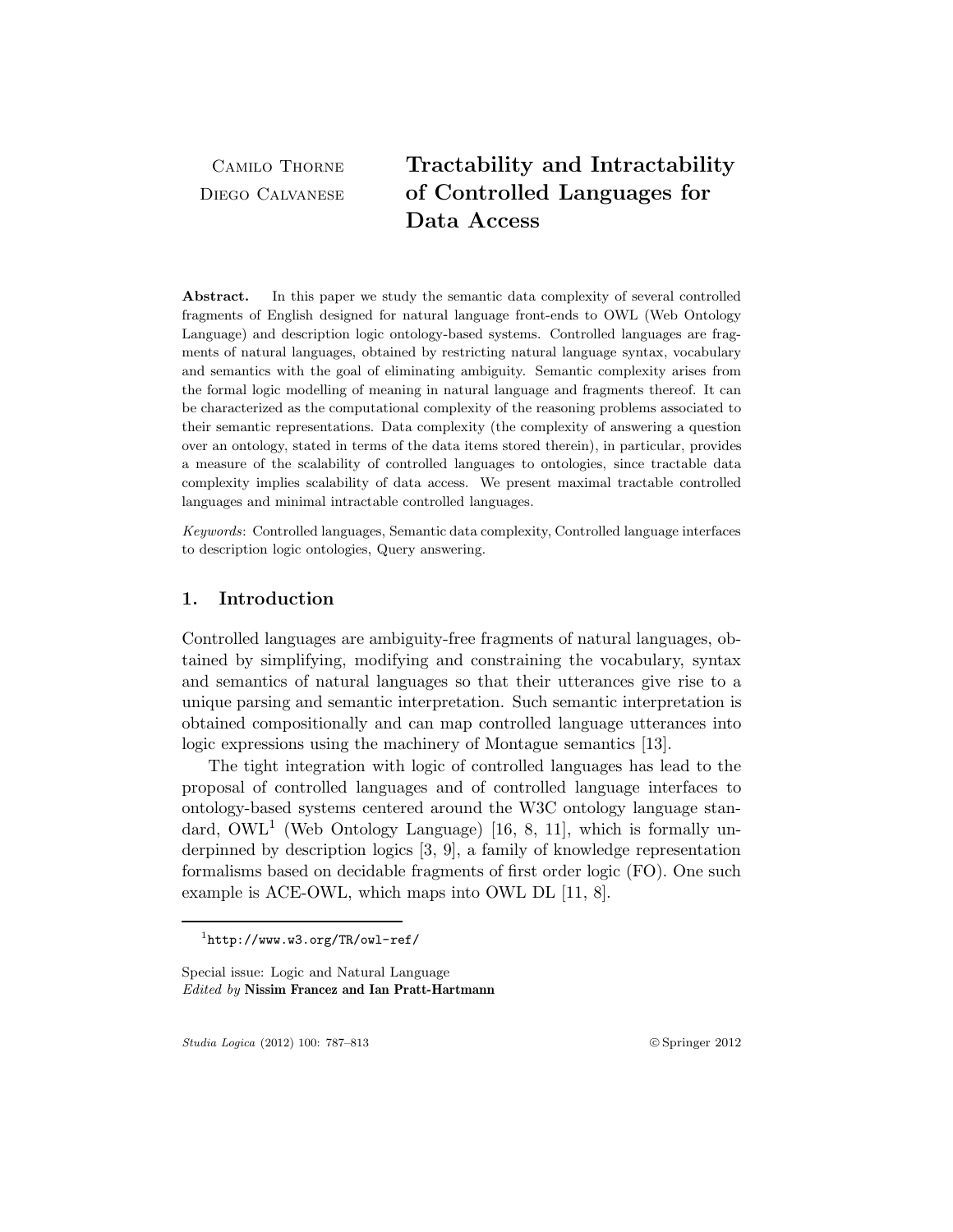Camilo Thorne Diego Calvanese

# Tractability and Intractability of Controlled Languages for Data Access

Abstract. In this paper we study the semantic data complexity of several controlled fragments of English designed for natural language front-ends to OWL (Web Ontology Language) and description logic ontology-based systems. Controlled languages are fragments of natural languages, obtained by restricting natural language syntax, vocabulary and semantics with the goal of eliminating ambiguity. Semantic complexity arises from the formal logic modelling of meaning in natural language and fragments thereof. It can be characterized as the computational complexity of the reasoning problems associated to their semantic representations. Data complexity (the complexity of answering a question over an ontology, stated in terms of the data items stored therein), in particular, provides a measure of the scalability of controlled languages to ontologies, since tractable data complexity implies scalability of data access. We present maximal tractable controlled languages and minimal intractable controlled languages.

Keywords: Controlled languages, Semantic data complexity, Controlled language interfaces to description logic ontologies, Query answering.

### 1. Introduction

Controlled languages are ambiguity-free fragments of natural languages, obtained by simplifying, modifying and constraining the vocabulary, syntax and semantics of natural languages so that their utterances give rise to a unique parsing and semantic interpretation. Such semantic interpretation is obtained compositionally and can map controlled language utterances into logic expressions using the machinery of Montague semantics [13].

The tight integration with logic of controlled languages has lead to the proposal of controlled languages and of controlled language interfaces to ontology-based systems centered around the W3C ontology language standard,  $\text{OWL}^1$  (Web Ontology Language) [16, 8, 11], which is formally underpinned by description logics [3, 9], a family of knowledge representation formalisms based on decidable fragments of first order logic (FO). One such example is ACE-OWL, which maps into OWL DL [11, 8].

Studia Logica (2012) 100: 787–813 !c Springer 2012

 $1$ http://www.w3.org/TR/owl-ref/

Special issue: Logic and Natural Language Edited by Nissim Francez and Ian Pratt-Hartmann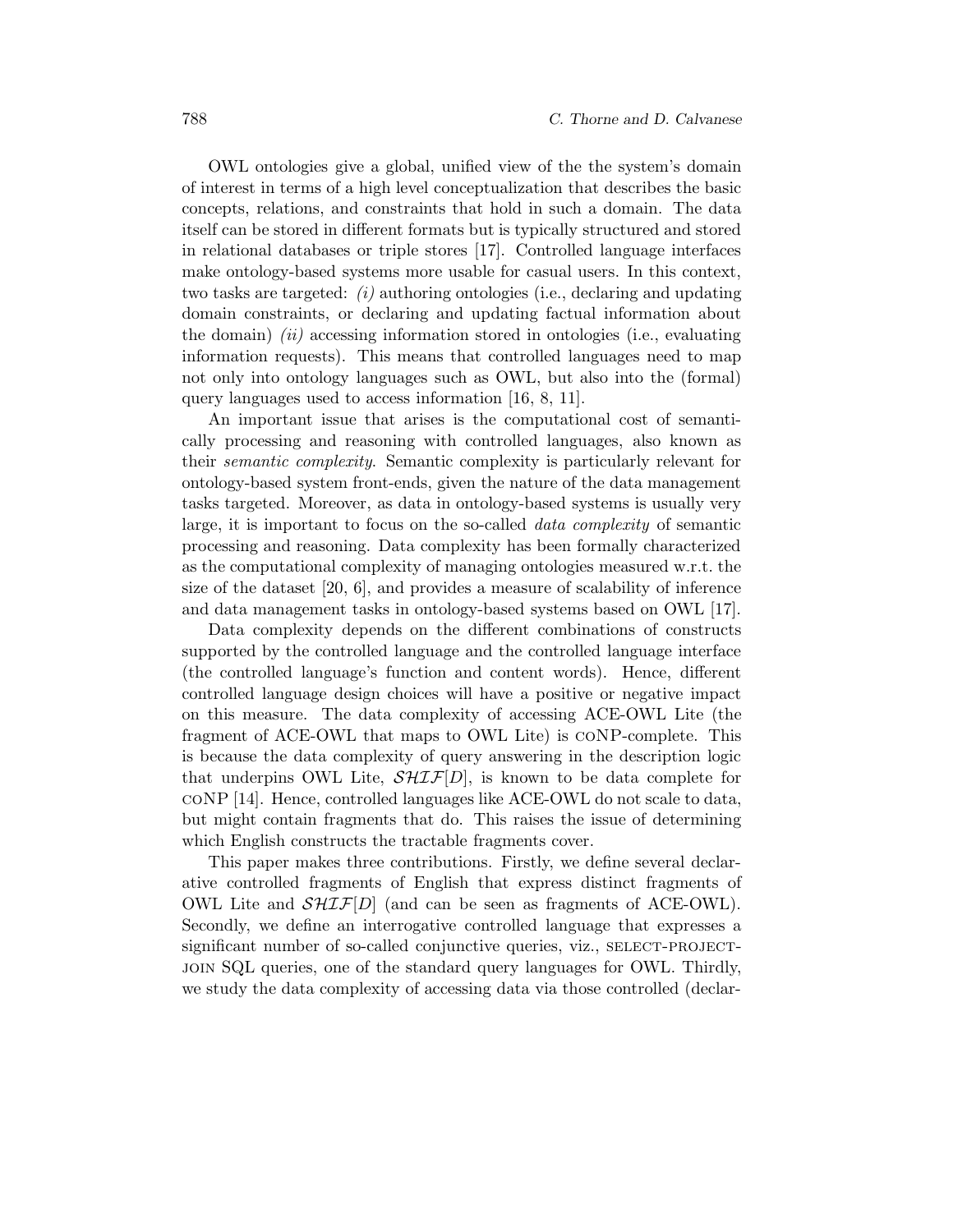OWL ontologies give a global, unified view of the the system's domain of interest in terms of a high level conceptualization that describes the basic concepts, relations, and constraints that hold in such a domain. The data itself can be stored in different formats but is typically structured and stored in relational databases or triple stores [17]. Controlled language interfaces make ontology-based systems more usable for casual users. In this context, two tasks are targeted:  $(i)$  authoring ontologies (i.e., declaring and updating domain constraints, or declaring and updating factual information about the domain)  $(ii)$  accessing information stored in ontologies (i.e., evaluating information requests). This means that controlled languages need to map not only into ontology languages such as OWL, but also into the (formal) query languages used to access information [16, 8, 11].

An important issue that arises is the computational cost of semantically processing and reasoning with controlled languages, also known as their semantic complexity. Semantic complexity is particularly relevant for ontology-based system front-ends, given the nature of the data management tasks targeted. Moreover, as data in ontology-based systems is usually very large, it is important to focus on the so-called data complexity of semantic processing and reasoning. Data complexity has been formally characterized as the computational complexity of managing ontologies measured w.r.t. the size of the dataset [20, 6], and provides a measure of scalability of inference and data management tasks in ontology-based systems based on OWL [17].

Data complexity depends on the different combinations of constructs supported by the controlled language and the controlled language interface (the controlled language's function and content words). Hence, different controlled language design choices will have a positive or negative impact on this measure. The data complexity of accessing ACE-OWL Lite (the fragment of ACE-OWL that maps to OWL Lite) is coNP-complete. This is because the data complexity of query answering in the description logic that underpins OWL Lite,  $\mathcal{SHT}$ [D], is known to be data complete for coNP [14]. Hence, controlled languages like ACE-OWL do not scale to data, but might contain fragments that do. This raises the issue of determining which English constructs the tractable fragments cover.

This paper makes three contributions. Firstly, we define several declarative controlled fragments of English that express distinct fragments of OWL Lite and  $\mathcal{SHIF}[D]$  (and can be seen as fragments of ACE-OWL). Secondly, we define an interrogative controlled language that expresses a significant number of so-called conjunctive queries, viz., SELECT-PROJECTjoin SQL queries, one of the standard query languages for OWL. Thirdly, we study the data complexity of accessing data via those controlled (declar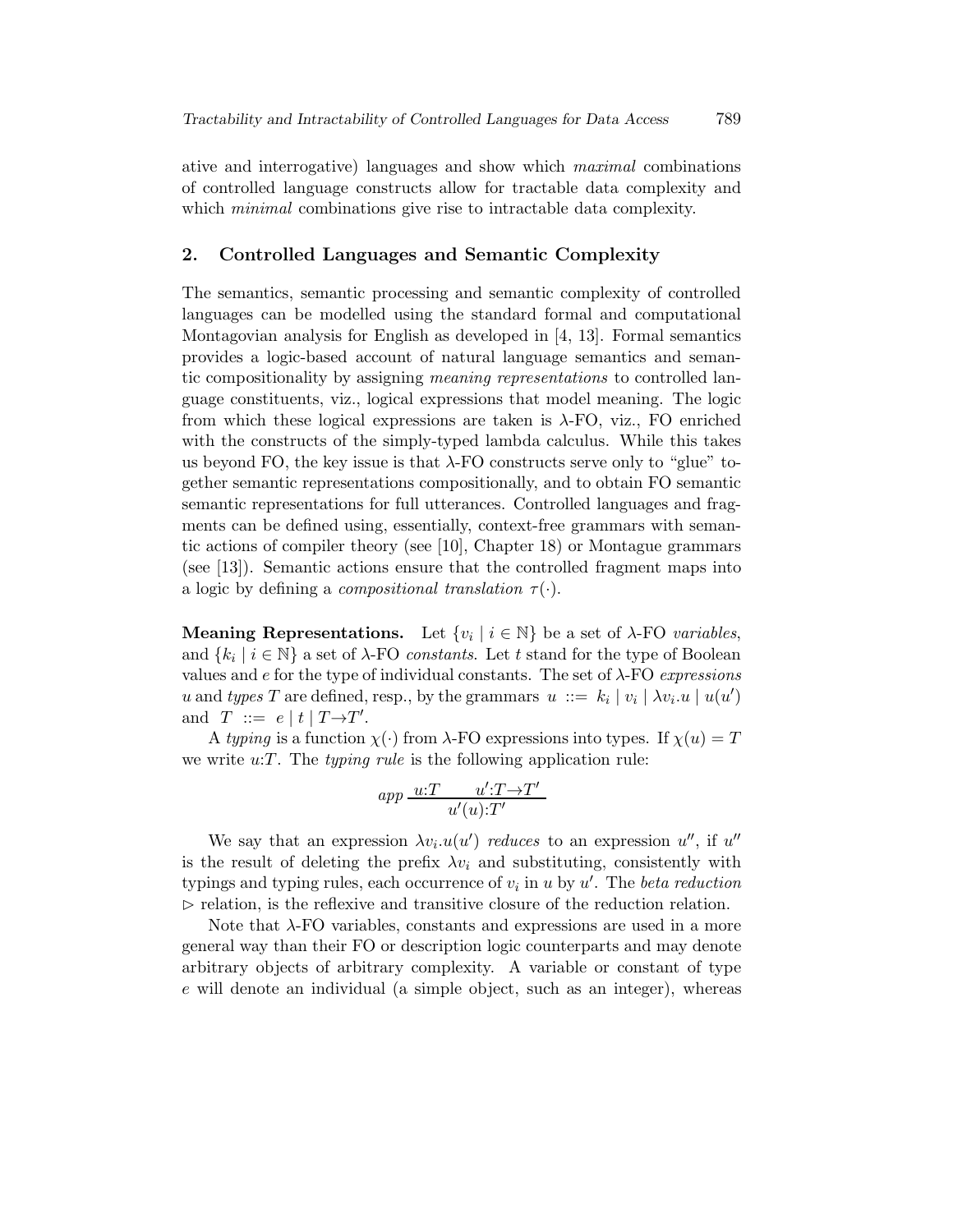ative and interrogative) languages and show which maximal combinations of controlled language constructs allow for tractable data complexity and which *minimal* combinations give rise to intractable data complexity.

#### 2. Controlled Languages and Semantic Complexity

The semantics, semantic processing and semantic complexity of controlled languages can be modelled using the standard formal and computational Montagovian analysis for English as developed in [4, 13]. Formal semantics provides a logic-based account of natural language semantics and semantic compositionality by assigning meaning representations to controlled language constituents, viz., logical expressions that model meaning. The logic from which these logical expressions are taken is  $\lambda$ -FO, viz., FO enriched with the constructs of the simply-typed lambda calculus. While this takes us beyond FO, the key issue is that  $\lambda$ -FO constructs serve only to "glue" together semantic representations compositionally, and to obtain FO semantic semantic representations for full utterances. Controlled languages and fragments can be defined using, essentially, context-free grammars with semantic actions of compiler theory (see [10], Chapter 18) or Montague grammars (see [13]). Semantic actions ensure that the controlled fragment maps into a logic by defining a *compositional translation*  $\tau(\cdot)$ .

**Meaning Representations.** Let  $\{v_i \mid i \in \mathbb{N}\}\$  be a set of  $\lambda$ -FO variables, and  $\{k_i \mid i \in \mathbb{N}\}\$ a set of  $\lambda$ -FO *constants*. Let t stand for the type of Boolean values and  $e$  for the type of individual constants. The set of  $\lambda$ -FO expressions u and types T are defined, resp., by the grammars  $u ::= k_i | v_i | \lambda v_i.u | u(u')$ and  $T \ ::= e | t | T \rightarrow T'.$ 

A typing is a function  $\chi(\cdot)$  from  $\lambda$ -FO expressions into types. If  $\chi(u) = T$ we write  $u:T$ . The *typing rule* is the following application rule:

$$
app \underbrace{u:T} \underbrace{u':T\rightarrow T'}_{u'(u):T'}
$$

We say that an expression  $\lambda v_i.u(u')$  reduces to an expression u'', if u'' is the result of deleting the prefix  $\lambda v_i$  and substituting, consistently with typings and typing rules, each occurrence of  $v_i$  in u by u'. The beta reduction  $\triangleright$  relation, is the reflexive and transitive closure of the reduction relation.

Note that λ-FO variables, constants and expressions are used in a more general way than their FO or description logic counterparts and may denote arbitrary objects of arbitrary complexity. A variable or constant of type e will denote an individual (a simple object, such as an integer), whereas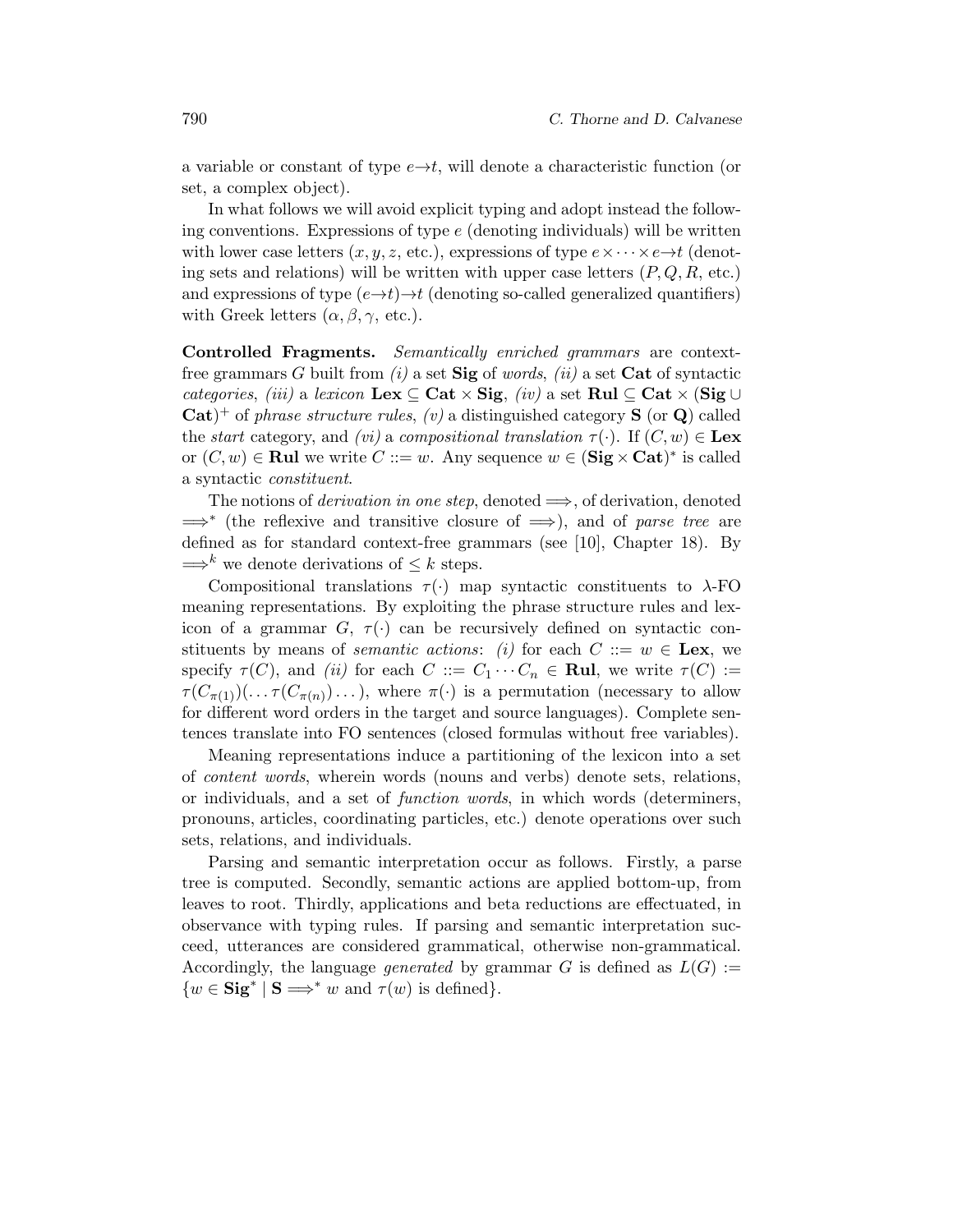a variable or constant of type  $e \rightarrow t$ , will denote a characteristic function (or set, a complex object).

In what follows we will avoid explicit typing and adopt instead the following conventions. Expressions of type  $e$  (denoting individuals) will be written with lower case letters  $(x, y, z, \text{etc.})$ , expressions of type  $e \times \cdots \times e \rightarrow t$  (denoting sets and relations) will be written with upper case letters  $(P, Q, R, \text{ etc.})$ and expressions of type  $(e \rightarrow t) \rightarrow t$  (denoting so-called generalized quantifiers) with Greek letters  $(\alpha, \beta, \gamma, \text{ etc.}).$ 

Controlled Fragments. Semantically enriched grammars are contextfree grammars G built from  $(i)$  a set  $\textbf{Sig}$  of words,  $(ii)$  a set  $\textbf{Cat}$  of syntactic categories, (iii) a lexicon Lex  $\subseteq$  Cat  $\times$  Sig, (iv) a set Rul  $\subseteq$  Cat  $\times$  (Sig  $\cup$  $\text{Cat}$ <sup>+</sup> of phrase structure rules, (v) a distinguished category **S** (or **Q**) called the start category, and (*vi*) a compositional translation  $\tau(\cdot)$ . If  $(C, w) \in \mathbf{Lex}$ or  $(C, w)$  ∈ Rul we write  $C ::= w$ . Any sequence  $w ∈ (Sig × Cat)^*$  is called a syntactic constituent.

The notions of *derivation in one step*, denoted  $\implies$ , of derivation, denoted =⇒<sup>∗</sup> (the reflexive and transitive closure of =⇒), and of parse tree are defined as for standard context-free grammars (see [10], Chapter 18). By  $\Longrightarrow^k$  we denote derivations of  $\leq k$  steps.

Compositional translations  $\tau(\cdot)$  map syntactic constituents to  $\lambda$ -FO meaning representations. By exploiting the phrase structure rules and lexicon of a grammar  $G, \tau(\cdot)$  can be recursively defined on syntactic constituents by means of *semantic actions*: (i) for each  $C ::= w \in \textbf{Lex},$  we specify  $\tau(C)$ , and (ii) for each  $C ::= C_1 \cdots C_n \in \mathbf{Rul}$ , we write  $\tau(C) :=$  $\tau(C_{\pi(1)})(\ldots \tau(C_{\pi(n)})\ldots)$ , where  $\pi(\cdot)$  is a permutation (necessary to allow for different word orders in the target and source languages). Complete sentences translate into FO sentences (closed formulas without free variables).

Meaning representations induce a partitioning of the lexicon into a set of content words, wherein words (nouns and verbs) denote sets, relations, or individuals, and a set of function words, in which words (determiners, pronouns, articles, coordinating particles, etc.) denote operations over such sets, relations, and individuals.

Parsing and semantic interpretation occur as follows. Firstly, a parse tree is computed. Secondly, semantic actions are applied bottom-up, from leaves to root. Thirdly, applications and beta reductions are effectuated, in observance with typing rules. If parsing and semantic interpretation succeed, utterances are considered grammatical, otherwise non-grammatical. Accordingly, the language *generated* by grammar G is defined as  $L(G) :=$  $\{w \in \mathbf{Sig}^* \mid \mathbf{S} \Longrightarrow^* w \text{ and } \tau(w) \text{ is defined}\}.$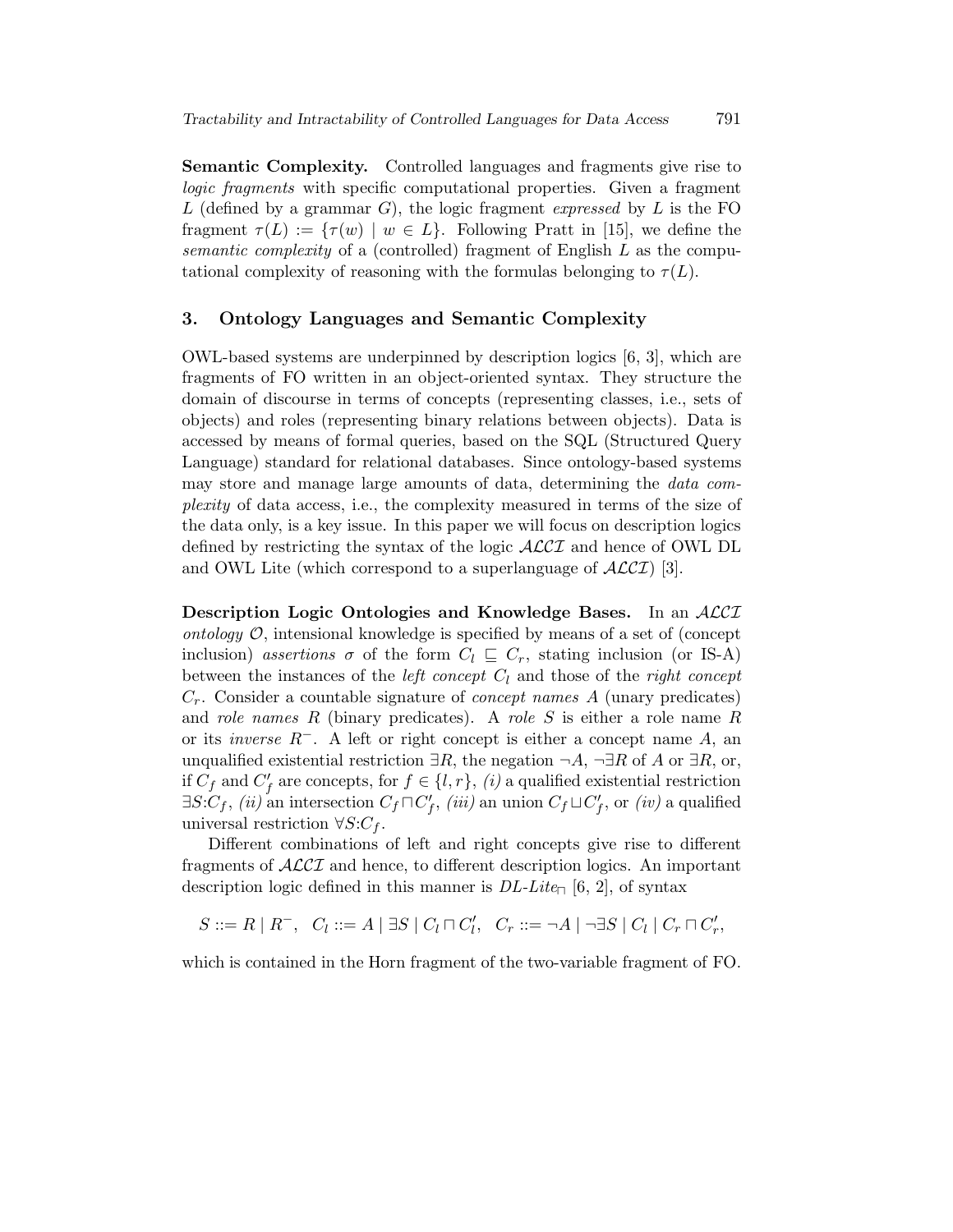Semantic Complexity. Controlled languages and fragments give rise to logic fragments with specific computational properties. Given a fragment L (defined by a grammar G), the logic fragment expressed by L is the FO fragment  $\tau(L) := {\tau(w) \mid w \in L}$ . Following Pratt in [15], we define the semantic complexity of a (controlled) fragment of English L as the computational complexity of reasoning with the formulas belonging to  $\tau(L)$ .

#### 3. Ontology Languages and Semantic Complexity

OWL-based systems are underpinned by description logics [6, 3], which are fragments of FO written in an object-oriented syntax. They structure the domain of discourse in terms of concepts (representing classes, i.e., sets of objects) and roles (representing binary relations between objects). Data is accessed by means of formal queries, based on the SQL (Structured Query Language) standard for relational databases. Since ontology-based systems may store and manage large amounts of data, determining the data complexity of data access, i.e., the complexity measured in terms of the size of the data only, is a key issue. In this paper we will focus on description logics defined by restricting the syntax of the logic  $\mathcal{ALCI}$  and hence of OWL DL and OWL Lite (which correspond to a superlanguage of  $ALCI$ ) [3].

Description Logic Ontologies and Knowledge Bases. In an *ACCI* ontology  $\mathcal{O}$ , intensional knowledge is specified by means of a set of (concept inclusion) assertions  $\sigma$  of the form  $C_l \subseteq C_r$ , stating inclusion (or IS-A) between the instances of the *left concept*  $C_l$  and those of the *right concept*  $C_r$ . Consider a countable signature of *concept names A* (unary predicates) and role names R (binary predicates). A role S is either a role name R or its *inverse*  $R^-$ . A left or right concept is either a concept name A, an unqualified existential restriction  $\exists R$ , the negation  $\neg A$ ,  $\neg \exists R$  of A or  $\exists R$ , or, if  $C_f$  and  $C'_f$  are concepts, for  $f \in \{l, r\}$ , (i) a qualified existential restriction  $\exists S:C_f, (ii)$  an intersection  $C_f \sqcap C'_f$ ,  $(iii)$  an union  $C_f \sqcup C'_f$ , or  $(iv)$  a qualified universal restriction  $\forall S: C_f$ .

Different combinations of left and right concepts give rise to different fragments of  $\mathcal{ALCI}$  and hence, to different description logics. An important description logic defined in this manner is  $DL\text{-}Lite_{\Box}$  [6, 2], of syntax

 $S ::= R | R^{-}, C_{l} ::= A | \exists S | C_{l} \sqcap C'_{l}, C_{r} ::= \neg A | \neg \exists S | C_{l} | C_{r} \sqcap C'_{r},$ 

which is contained in the Horn fragment of the two-variable fragment of FO.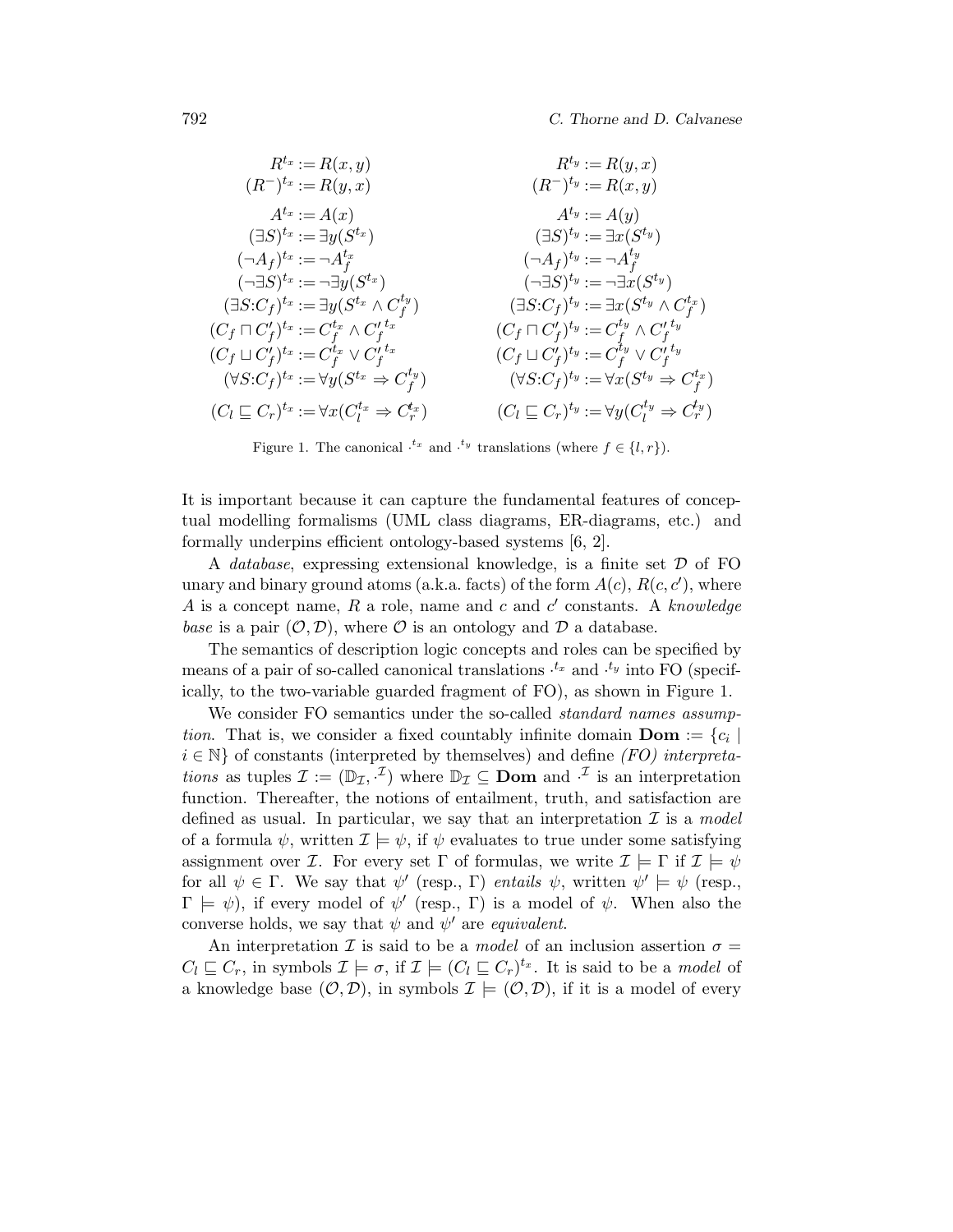$$
R^{t_x} := R(x, y)
$$
\n
$$
(R^{-})^{t_x} := R(y, x)
$$
\n
$$
A^{t_x} := A(x)
$$
\n
$$
(3S)^{t_x} := \exists y(S^{t_x})
$$
\n
$$
(4S)^{t_x} := -A^{t_x}
$$
\n
$$
(-3S)^{t_x} := -\exists y(S^{t_x})
$$
\n
$$
(5S)^{t_y} := \exists x(S^{t_y})
$$
\n
$$
(5S)^{t_x} := -\exists y(S^{t_x})
$$
\n
$$
(6S)^{t_y} := \exists x(S^{t_y})
$$
\n
$$
(7S)^{t_x} := \exists y(S^{t_x} \wedge C_f^{t_y})
$$
\n
$$
(7S)^{t_y} := \exists x(S^{t_y} \wedge C_f^{t_x})
$$
\n
$$
(7S)^{t_y} := \exists x(S^{t_y} \wedge C_f^{t_x})
$$
\n
$$
(6S)^{t_y} := \exists x(S^{t_y} \wedge C_f^{t_x})
$$
\n
$$
(6S)^{t_y} := \exists x(S^{t_y} \wedge C_f^{t_x})
$$
\n
$$
(6S)^{t_y} := C_f^{t_y} \wedge C_f^{t_y}
$$
\n
$$
(6S)^{t_y} := C_f^{t_y} \wedge C_f^{t_y}
$$
\n
$$
(6S)^{t_y} := C_f^{t_y} \wedge C_f^{t_y}
$$
\n
$$
(7S)^{t_y} := C_f^{t_y} \vee C_f^{t_y}
$$
\n
$$
(7S)^{t_y} := \forall x(S^{t_y} \Rightarrow C_f^{t_x})
$$
\n
$$
(7S)^{t_y} := \forall x(S^{t_y} \Rightarrow C_f^{t_x})
$$
\n
$$
(7S)^{t_y} := \forall x(S^{t_y} \Rightarrow C_f^{t_x})
$$
\n
$$
(7S)^{t_y} := \forall y(C^{t_y} \Rightarrow C_f^{t_x})
$$

Figure 1. The canonical  $t^x$  and  $t^y$  translations (where  $f \in \{l, r\}$ ).

It is important because it can capture the fundamental features of conceptual modelling formalisms (UML class diagrams, ER-diagrams, etc.) and formally underpins efficient ontology-based systems [6, 2].

A *database*, expressing extensional knowledge, is a finite set  $D$  of FO unary and binary ground atoms (a.k.a. facts) of the form  $A(c)$ ,  $R(c, c')$ , where A is a concept name, R a role, name and c and  $c'$  constants. A knowledge base is a pair  $(0, D)$ , where O is an ontology and D a database.

The semantics of description logic concepts and roles can be specified by means of a pair of so-called canonical translations  $t_x$  and  $t_y$  into FO (specifically, to the two-variable guarded fragment of FO), as shown in Figure 1.

We consider FO semantics under the so-called *standard names assump*tion. That is, we consider a fixed countably infinite domain **Dom** :=  $\{c_i \mid$  $i \in \mathbb{N}$  of constants (interpreted by themselves) and define (FO) interpretations as tuples  $\mathcal{I} := (\mathbb{D}_{\mathcal{I}}, \cdot^L)$  where  $\mathbb{D}_{\mathcal{I}} \subseteq \mathbf{Dom}$  and  $\cdot^L$  is an interpretation function. Thereafter, the notions of entailment, truth, and satisfaction are defined as usual. In particular, we say that an interpretation  $\mathcal I$  is a model of a formula  $\psi$ , written  $\mathcal{I} \models \psi$ , if  $\psi$  evaluates to true under some satisfying assignment over *I*. For every set  $\Gamma$  of formulas, we write  $\mathcal{I} \models \Gamma$  if  $\mathcal{I} \models \psi$ for all  $\psi \in \Gamma$ . We say that  $\psi'$  (resp.,  $\Gamma$ ) entails  $\psi$ , written  $\psi' \models \psi$  (resp.,  $\Gamma \models \psi$ ), if every model of  $\psi'$  (resp.,  $\Gamma$ ) is a model of  $\psi$ . When also the converse holds, we say that  $\psi$  and  $\psi'$  are *equivalent*.

An interpretation I is said to be a *model* of an inclusion assertion  $\sigma =$  $C_l \subseteq C_r$ , in symbols  $\mathcal{I} \models \sigma$ , if  $\mathcal{I} \models (C_l \subseteq C_r)^{t_x}$ . It is said to be a model of a knowledge base  $(0, D)$ , in symbols  $\mathcal{I} \models (0, D)$ , if it is a model of every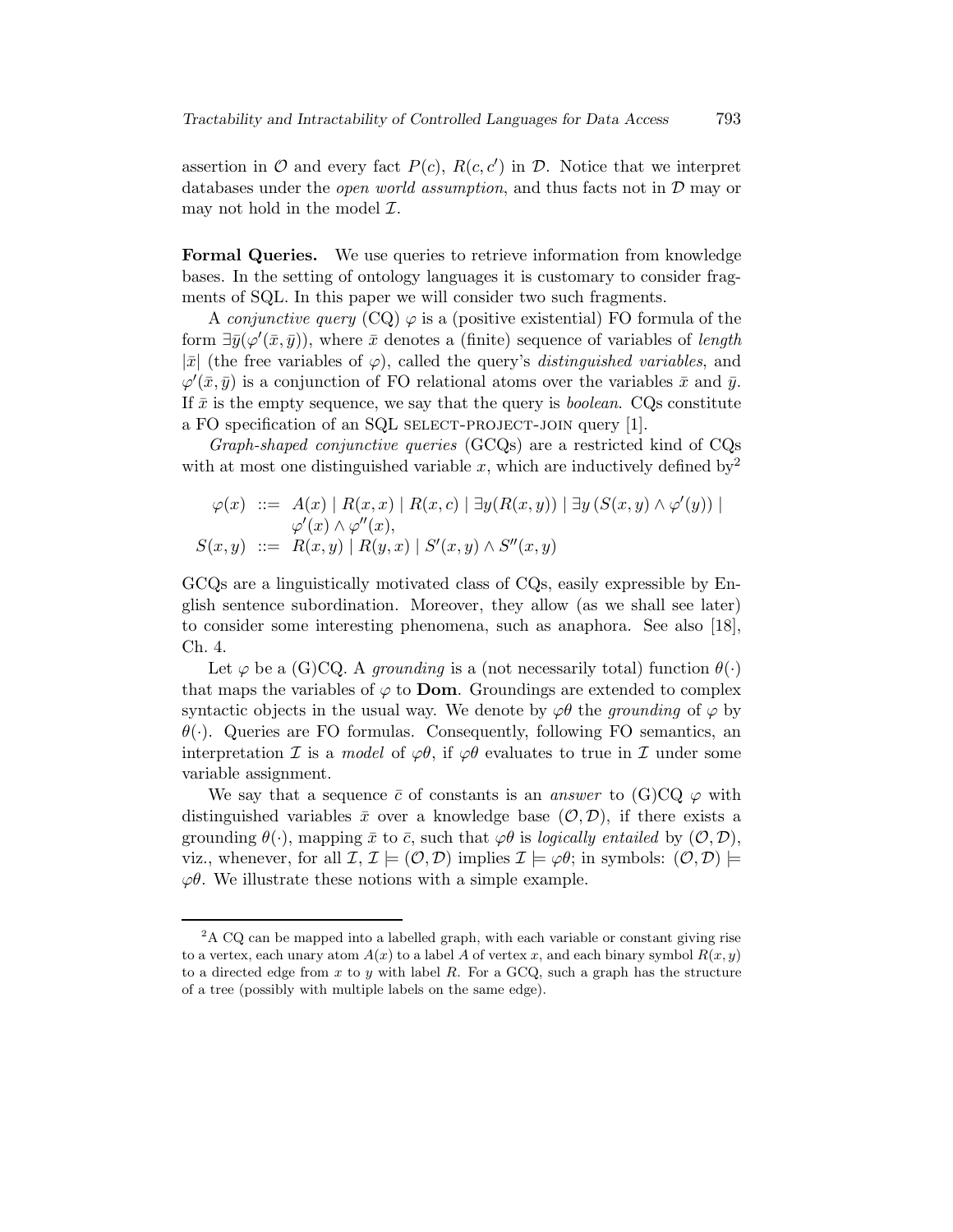assertion in  $\mathcal O$  and every fact  $P(c)$ ,  $R(c, c')$  in  $\mathcal D$ . Notice that we interpret databases under the open world assumption, and thus facts not in D may or may not hold in the model  $\mathcal{I}$ .

Formal Queries. We use queries to retrieve information from knowledge bases. In the setting of ontology languages it is customary to consider fragments of SQL. In this paper we will consider two such fragments.

A *conjunctive query*  $(CQ) \varphi$  is a (positive existential) FO formula of the form  $\exists \bar{y}(\varphi'(\bar{x}, \bar{y}))$ , where  $\bar{x}$  denotes a (finite) sequence of variables of length  $|\bar{x}|$  (the free variables of  $\varphi$ ), called the query's *distinguished variables*, and  $\varphi'(\bar{x}, \bar{y})$  is a conjunction of FO relational atoms over the variables  $\bar{x}$  and  $\bar{y}$ . If  $\bar{x}$  is the empty sequence, we say that the query is *boolean*. CQs constitute a FO specification of an SQL SELECT-PROJECT-JOIN query [1].

Graph-shaped conjunctive queries (GCQs) are a restricted kind of CQs with at most one distinguished variable x, which are inductively defined by  $2^2$ 

$$
\varphi(x) \ ::= \ A(x) \mid R(x, x) \mid R(x, c) \mid \exists y (R(x, y)) \mid \exists y (S(x, y) \land \varphi'(y)) \mid
$$
  

$$
\varphi'(x) \land \varphi''(x),
$$
  

$$
S(x, y) \ ::= \ R(x, y) \mid R(y, x) \mid S'(x, y) \land S''(x, y)
$$

GCQs are a linguistically motivated class of CQs, easily expressible by English sentence subordination. Moreover, they allow (as we shall see later) to consider some interesting phenomena, such as anaphora. See also [18], Ch. 4.

Let  $\varphi$  be a (G)CQ. A *grounding* is a (not necessarily total) function  $\theta(\cdot)$ that maps the variables of  $\varphi$  to **Dom**. Groundings are extended to complex syntactic objects in the usual way. We denote by  $\varphi\theta$  the grounding of  $\varphi$  by  $\theta(\cdot)$ . Queries are FO formulas. Consequently, following FO semantics, an interpretation  $\mathcal I$  is a *model* of  $\varphi\theta$ , if  $\varphi\theta$  evaluates to true in  $\mathcal I$  under some variable assignment.

We say that a sequence  $\bar{c}$  of constants is an *answer* to (G)CQ  $\varphi$  with distinguished variables  $\bar{x}$  over a knowledge base  $(0, \mathcal{D})$ , if there exists a grounding  $\theta(\cdot)$ , mapping  $\bar{x}$  to  $\bar{c}$ , such that  $\varphi\theta$  is logically entailed by  $(\mathcal{O}, \mathcal{D})$ , viz., whenever, for all  $\mathcal{I}, \mathcal{I} \models (\mathcal{O}, \mathcal{D})$  implies  $\mathcal{I} \models \varphi \theta$ ; in symbols:  $(\mathcal{O}, \mathcal{D}) \models$  $\varphi\theta$ . We illustrate these notions with a simple example.

<sup>&</sup>lt;sup>2</sup>A CQ can be mapped into a labelled graph, with each variable or constant giving rise to a vertex, each unary atom  $A(x)$  to a label A of vertex x, and each binary symbol  $R(x, y)$ to a directed edge from x to y with label R. For a GCQ, such a graph has the structure of a tree (possibly with multiple labels on the same edge).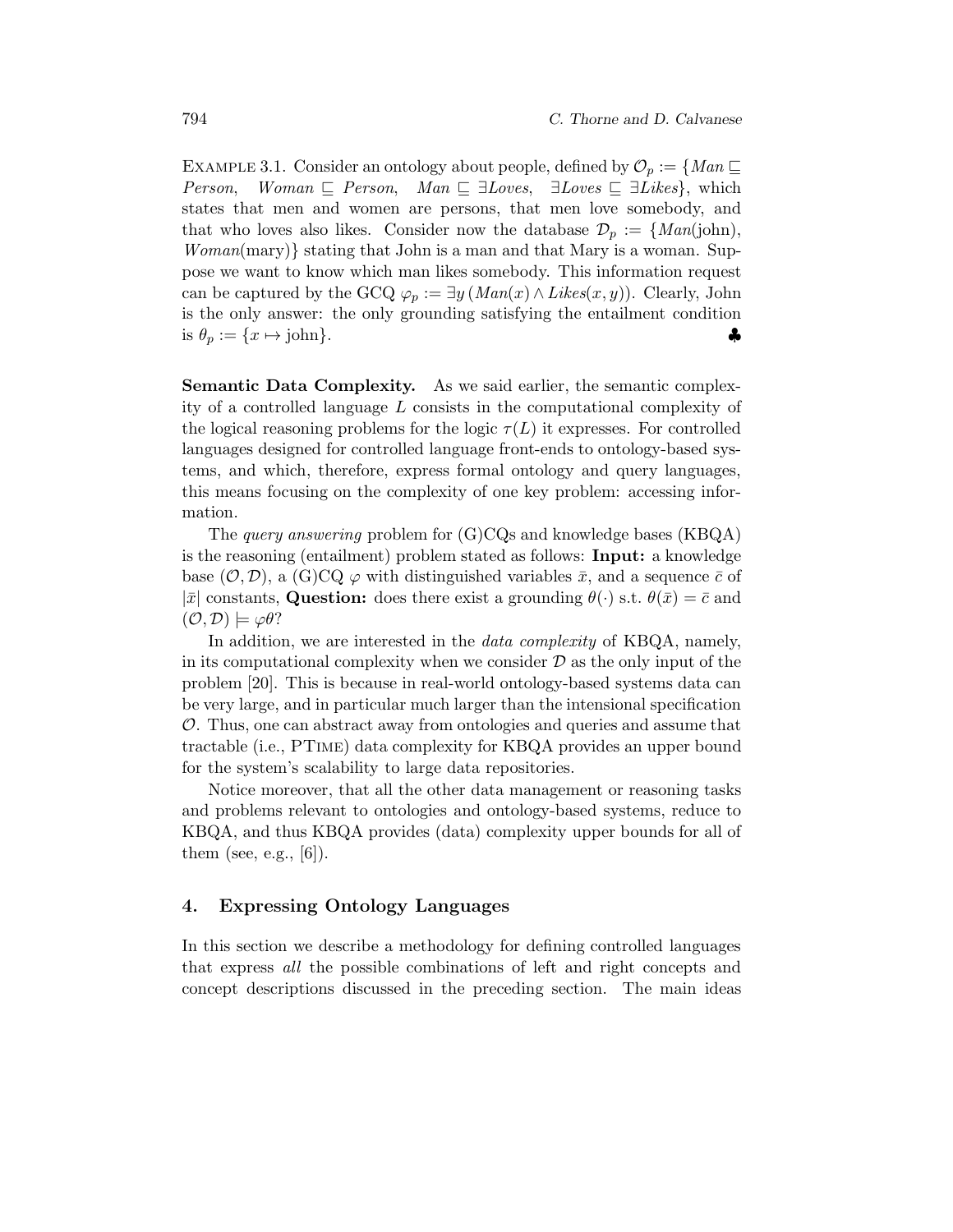Example 3.1. Consider an ontology about people, defined by O<sup>p</sup> := {Man (  $Woman \subseteq Person$ ,  $Man \subseteq \exists Loves$ ,  $\exists Loves \subseteq \exists Lives$ , which states that men and women are persons, that men love somebody, and that who loves also likes. Consider now the database  $\mathcal{D}_p := \{Man(john),$  $Woman(mary)$  stating that John is a man and that Mary is a woman. Suppose we want to know which man likes somebody. This information request can be captured by the GCQ  $\varphi_p := \exists y \, (Man(x) \wedge \text{Likes}(x, y))$ . Clearly, John is the only answer: the only grounding satisfying the entailment condition is  $\theta_p := \{x \mapsto \text{John}\}.$ 

Semantic Data Complexity. As we said earlier, the semantic complexity of a controlled language L consists in the computational complexity of the logical reasoning problems for the logic  $\tau(L)$  it expresses. For controlled languages designed for controlled language front-ends to ontology-based systems, and which, therefore, express formal ontology and query languages, this means focusing on the complexity of one key problem: accessing information.

The query answering problem for (G)CQs and knowledge bases (KBQA) is the reasoning (entailment) problem stated as follows: Input: a knowledge base  $(0, \mathcal{D})$ , a  $(G)CQ \varphi$  with distinguished variables  $\bar{x}$ , and a sequence  $\bar{c}$  of  $|\bar{x}|$  constants, Question: does there exist a grounding  $\theta(\cdot)$  s.t.  $\theta(\bar{x})=\bar{c}$  and  $(\mathcal{O},\mathcal{D}) \models \varphi\theta$ ?

In addition, we are interested in the *data complexity* of KBQA, namely, in its computational complexity when we consider  $\mathcal D$  as the only input of the problem [20]. This is because in real-world ontology-based systems data can be very large, and in particular much larger than the intensional specification  $\mathcal{O}$ . Thus, one can abstract away from ontologies and queries and assume that tractable (i.e., PTime) data complexity for KBQA provides an upper bound for the system's scalability to large data repositories.

Notice moreover, that all the other data management or reasoning tasks and problems relevant to ontologies and ontology-based systems, reduce to KBQA, and thus KBQA provides (data) complexity upper bounds for all of them (see, e.g.,  $[6]$ ).

### 4. Expressing Ontology Languages

In this section we describe a methodology for defining controlled languages that express all the possible combinations of left and right concepts and concept descriptions discussed in the preceding section. The main ideas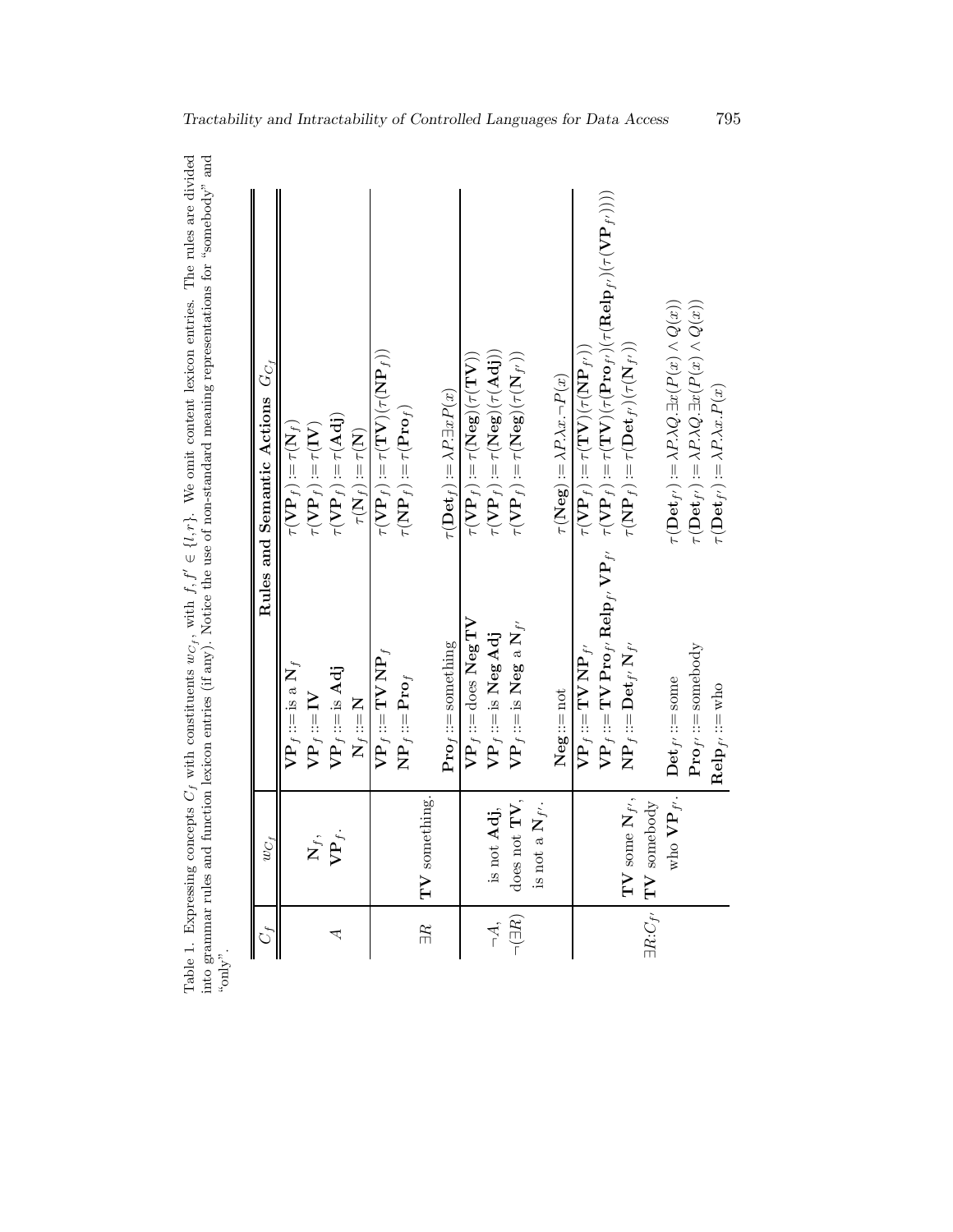| $y^n$ .           |                                       |                                                                  |                                                                                                                                                                                                                                                              |
|-------------------|---------------------------------------|------------------------------------------------------------------|--------------------------------------------------------------------------------------------------------------------------------------------------------------------------------------------------------------------------------------------------------------|
| $\mathcal{C}_t$   | $wc_f$                                |                                                                  | Rules and Semantic Actions $G_{C}$                                                                                                                                                                                                                           |
|                   |                                       | $\mathbf{VP}_f ::=$ is a $\mathbf{N}_f$                          | $\tau(\mathbf{VP}_f) \! := \! \tau(\mathbf{N}_f)$                                                                                                                                                                                                            |
|                   | $\mathbf{X}_f$                        | $\mathbf{VP}_f ::= \mathbf{IV}$                                  | $\tau(\mathbf{VP}_f) \! := \! \tau(\mathbf{IV})$                                                                                                                                                                                                             |
| ₹                 | $\mathbf{VP}_f$ .                     | $\mathbf{VP}_f ::=$ is Adj                                       | $\tau(\mathbf{VP}_f) \mathop{{:}{=}} \tau(\mathbf{Adj})$                                                                                                                                                                                                     |
|                   |                                       | $N_f ::= N$                                                      | $\tau(\mathbf{N}_f) := \tau(\mathbf{N})$                                                                                                                                                                                                                     |
|                   |                                       | $\mathbf{VP}_f ::= \mathbf{TV}\,\mathbf{NP}_f$                   | $\tau(\mathbf{VP}_f) \! := \! \tau(\mathbf{TV})(\tau(\mathbf{NP}_f))$                                                                                                                                                                                        |
|                   |                                       | $\mathbf{NP}_f ::= \mathbf{Pro}_f$                               | $\tau(\mathbf{NP}_f) := \tau(\mathbf{Pro}_f)$                                                                                                                                                                                                                |
| $\mathbb{R}$      | $\mathbf{TV}$ something.              |                                                                  |                                                                                                                                                                                                                                                              |
|                   |                                       | $\mathbf{Pro}_{f} ::=$ something                                 | $\tau(\mathbf{Det}_f) := \lambda P \exists x P(x)$                                                                                                                                                                                                           |
|                   |                                       | $\mathbf{VP}_f$ ::=does $\mathbf{Neg}\:\mathbf{TV}$              | $\tau(\mathbf{VP}_f) := \tau(\mathbf{Neg})(\tau(\mathbf{TV}))$                                                                                                                                                                                               |
| $\vec{A}$ .       | is not Adj,                           | $\mathbf{VP}_f ::=$ is $\mathbf{Neg}\,\mathbf{Adj}$              | $\tau(\mathbf{VP}_f) \! := \! \tau(\mathbf{Neg})(\tau(\mathbf{Adj}))$                                                                                                                                                                                        |
| $\neg(\exists R)$ | does not $TV$ ,                       | $\mathbf{VP}_f ::=$ is Neg a $\mathbf{N}_{f'}$                   | $\tau(\mathbf{V}\mathbf{P}_f) := \tau(\mathbf{N}\mathbf{e}\mathbf{g})(\tau(\mathbf{N}_f))$                                                                                                                                                                   |
|                   | is not a $\mathbf{N}_{f'}$ .          |                                                                  |                                                                                                                                                                                                                                                              |
|                   |                                       | $Neg::=not$                                                      | $\tau(\textbf{Neg})\!:=\!\lambda P.\lambda x.\neg P(x)$                                                                                                                                                                                                      |
|                   |                                       | $\mathbf{VP}_f ::= \mathbf{TV} \, \mathbf{NP}_{f'}$              | $\tau(\mathbf{VP}_f) := \tau(\mathbf{IV}) \mathbf{VP}(\mathbf{VP}_f)$                                                                                                                                                                                        |
|                   |                                       |                                                                  | $\operatorname{VP}_f := \operatorname{TV} \operatorname{Proj}_F \operatorname{Relp}_f, \operatorname{VP}_f, \quad \tau(\operatorname{VP}_f) := \tau(\operatorname{TV})(\tau(\operatorname{Proj}_f)(\tau(\operatorname{Relp}_f)(\tau(\operatorname{VP}_f))))$ |
|                   | $TV$ some $N_{f'}$ ,                  | $\mathbf{NP}_f \mathbin{::=}\mathbf{Det}_{f'}\, \mathbf{N}_{f'}$ | $\tau(\mathbf{NP}_f) := \tau(\mathbf{Det}_{f'})(\tau(\mathbf{N}_{f'}))$                                                                                                                                                                                      |
|                   | $\exists R.C_{f'}$ <b>TV</b> somebody |                                                                  |                                                                                                                                                                                                                                                              |
|                   | who $\mathbf{VP}_f$ .                 | $\mathbf{Det}_{f'} ::= \text{some}$                              | $\tau(\mathbf{Det}_{f'}) := \lambda P.\lambda Q.\exists x(P(x) \wedge Q(x))$                                                                                                                                                                                 |
|                   |                                       | ${\bf Proj}_f: := {\rm somebody}$                                | $\tau(\mathbf{Det}_{f'})\!:=\!\lambda P.\lambda Q.\exists x(P(x)\wedge Q(x))$                                                                                                                                                                                |
|                   |                                       | $\mathbf{Relp}_{f'} ::= \mathtt{who}$                            | $\tau(\mathbf{Det}_{f'})\!:=\!\lambda P.\lambda x.P(x)$                                                                                                                                                                                                      |

Table 1. Expressing concepts  $C_f$  with constituents w  $c_f$ , with f,  $f' \in \{l, r\}$ . We omit content lexicon entries. The rules are divided into grammar rules and function lexicon entries (if any). Notice the use of non-standard meaning representations for "somebody" and "only".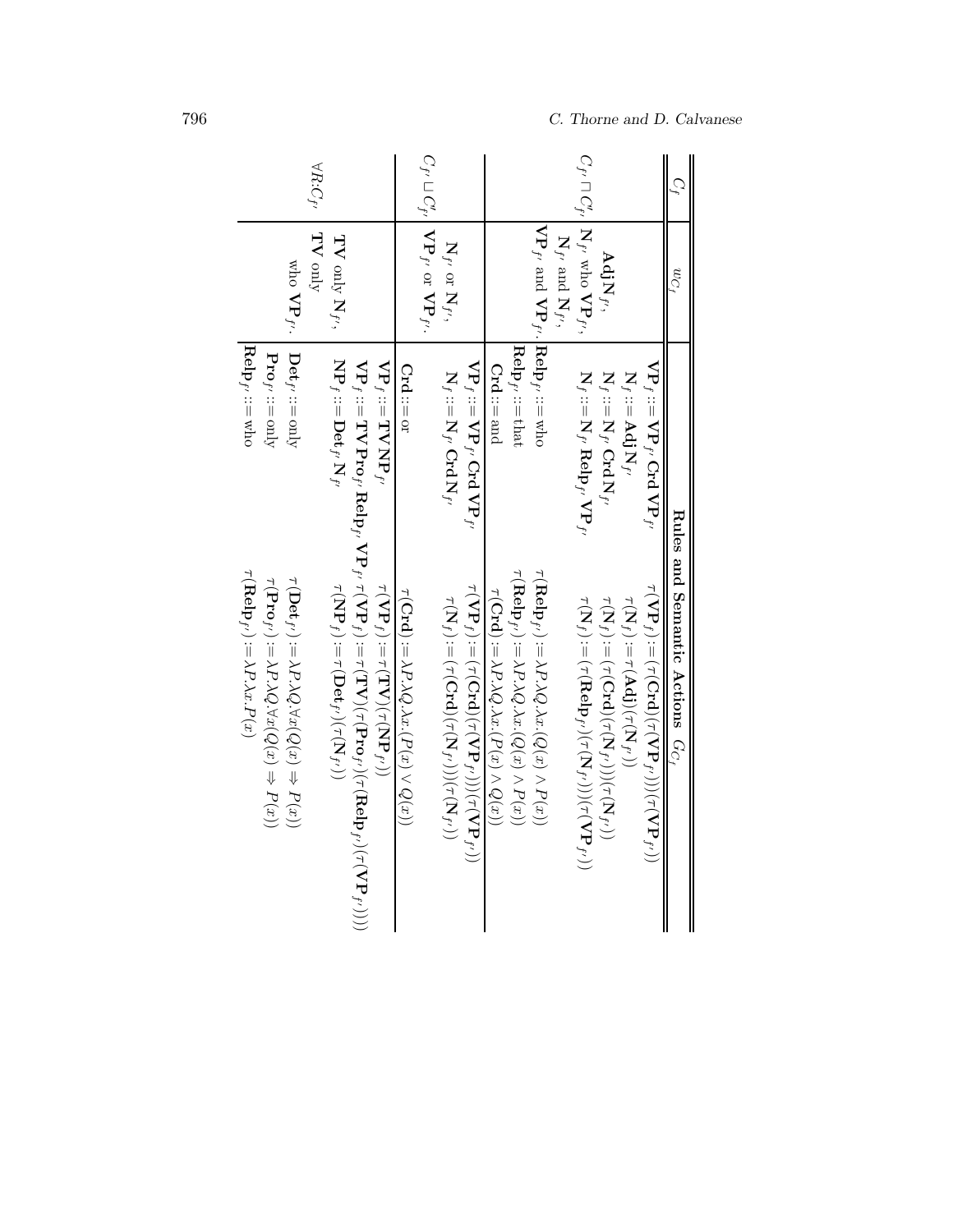| $\forall R{:}C_{f'}$                                                                                                                                                                                                                                                                                                                                                                                                                                                                                                                                                               |                                                                                                                                                                                                                                                                                              |                                                                                                                                                                                                                                                                                                                                                                                                                                                                                                                                                                                                                                   |                                      |
|------------------------------------------------------------------------------------------------------------------------------------------------------------------------------------------------------------------------------------------------------------------------------------------------------------------------------------------------------------------------------------------------------------------------------------------------------------------------------------------------------------------------------------------------------------------------------------|----------------------------------------------------------------------------------------------------------------------------------------------------------------------------------------------------------------------------------------------------------------------------------------------|-----------------------------------------------------------------------------------------------------------------------------------------------------------------------------------------------------------------------------------------------------------------------------------------------------------------------------------------------------------------------------------------------------------------------------------------------------------------------------------------------------------------------------------------------------------------------------------------------------------------------------------|--------------------------------------|
| TV only<br>$\mathbf{TV}$ only $\mathbf{N}_{f'},$<br>who VP <sub>f'</sub> .                                                                                                                                                                                                                                                                                                                                                                                                                                                                                                         | $C_{f'} \sqcup C'_{f'} \mid \mathbf{VP}_{f'}$ or $\mathbf{VP}_{f'}.$<br>$\mathbf{N}_{f'}$ or $\mathbf{N}_{f'},$                                                                                                                                                                              | $C_{f'} \sqcap C'_{f'}$ N f' who VP f',<br>$VPf'$ and $VPf'$ . Relp <sub>p</sub> , ::= who<br>$\mathbf{N}_{f'}$ and $\mathbf{N}_{f'},$<br>Adj $\mathrm{N}_{f^{\prime}},$                                                                                                                                                                                                                                                                                                                                                                                                                                                          | $w_{C_f}$                            |
| $\textbf{Relp}_{f'} ::= \text{who}$<br>$\text{Det}_{f'} ::= \text{only}$<br>$Pro_{f'} ::= \text{only}$<br>$\mathbf{NP}_f ::= \mathbf{Det}_{f'}\, \mathbf{N}_{f'}$<br>$\mathbf{VP}_f ::= \mathbf{TVNP}_f$                                                                                                                                                                                                                                                                                                                                                                           | $\mathrm{VP}_f$ ::= $\mathrm{VP}_{f'}$ Crd $\mathrm{VP}_{f'}$<br>$Crd ::= or$<br>$N_f:=N_{f'}$ Crd $N_{f'}$                                                                                                                                                                                  | $\textbf{Relp}_{f'} ::= \text{that}$<br>$VP_f ::= VP_{f'}$ Crd $VP_{f'}$<br>$Crd ::=$ and<br>$\mathbf{N}_f := \mathbf{N}_f, \mathbf{Relp}_{f'} \mathbf{VP}_{f'}$<br>$\mathbf{N}_f := \mathbf{N}_f, \mathbf{Crd} \mathbf{N}_f$<br>$\mathbf{N}_{f} ::= \mathbf{Adj}\mathbf{N}_{f'}$                                                                                                                                                                                                                                                                                                                                                 |                                      |
| $\mathrm{VP}_f:=\mathrm{TV}\operatorname{Proj}_r\operatorname{Relp}_f, \mathrm{VP}_f, \ \tau(\mathrm{VP}_f):=\tau(\mathrm{TV})(\tau(\mathrm{Prelp}_{f'})(\tau(\mathrm{Relp}_{f'}))))$<br>$\tau(\mathbf{Relp}_{F'}) := \lambda P . \lambda x . P(x)$<br>$\tau(\mathbf{Pro}_{f'}) := \lambda P.\lambda Q.\forall x(Q(x) \Rightarrow P(x))$<br>$\tau(\mathbf{Det}_{f'}) := \lambda P \lambda Q \, \forall x (Q(x) \Rightarrow P(x))$<br>$\tau(\mathbf{NP}_f) := \tau(\mathbf{Det}_{f'})(\tau(\mathbf{N}_{f'}))$<br>$\tau(\mathbf{VP}_f) := \tau(\mathbf{TV})(\tau(\mathbf{NP}_{f'}))$ | $\tau(\mathbf{VP}_f) := (\tau(\mathbf{Crd})(\tau(\mathbf{VP}_{f'}))(\tau(\mathbf{VP}_{f'}))$<br>$\tau(\mathbf{Crd}):\,=\lambda P\lambda Q.\lambda x. (P(x)\vee Q(x))$<br>$\tau({\mathbf N}_f) := (\tau({\mathbf C}{\mathbf r}{\mathbf d}) (\tau({\mathbf N}_{f'})) (\tau({\mathbf N}_{f'}))$ | $\tau(\mathbf{Relp}_{f'}) := \lambda P \lambda Q. \lambda x. (Q(x) \wedge P(x))$<br>$\tau(\mathbf{Relp}_{f'}) := \lambda P.\lambda Q.\lambda x. (Q(x) \wedge P(x))$<br>$\tau(\mathbf{VP}_f) := (\tau(\mathbf{Crd})(\tau(\mathbf{VP}_{f'})))(\tau(\mathbf{VP}_{f'})))$<br>$\tau(\mathbf{Crd}):=\lambda P.\lambda Q.\lambda x. (P(x)\wedge Q(x))$<br>$\tau(\mathbf{N}_f) := (\tau(\mathbf{Relp}_{f'})(\tau(\mathbf{N}_{f'})))(\tau(\mathbf{VP}_{f'}))$<br>$\tau(\mathbf{N}_f) := \tau(\mathbf{A}\mathbf{d}\mathbf{j})(\tau(\mathbf{N}_{f'}))$<br>$\tau(\mathbf{N}_f):=(\tau(\mathbf{Crd})(\tau(\mathbf{N}_f)))(\tau(\mathbf{N}_f))$ | Rules and Semantic Actions $G_{C_f}$ |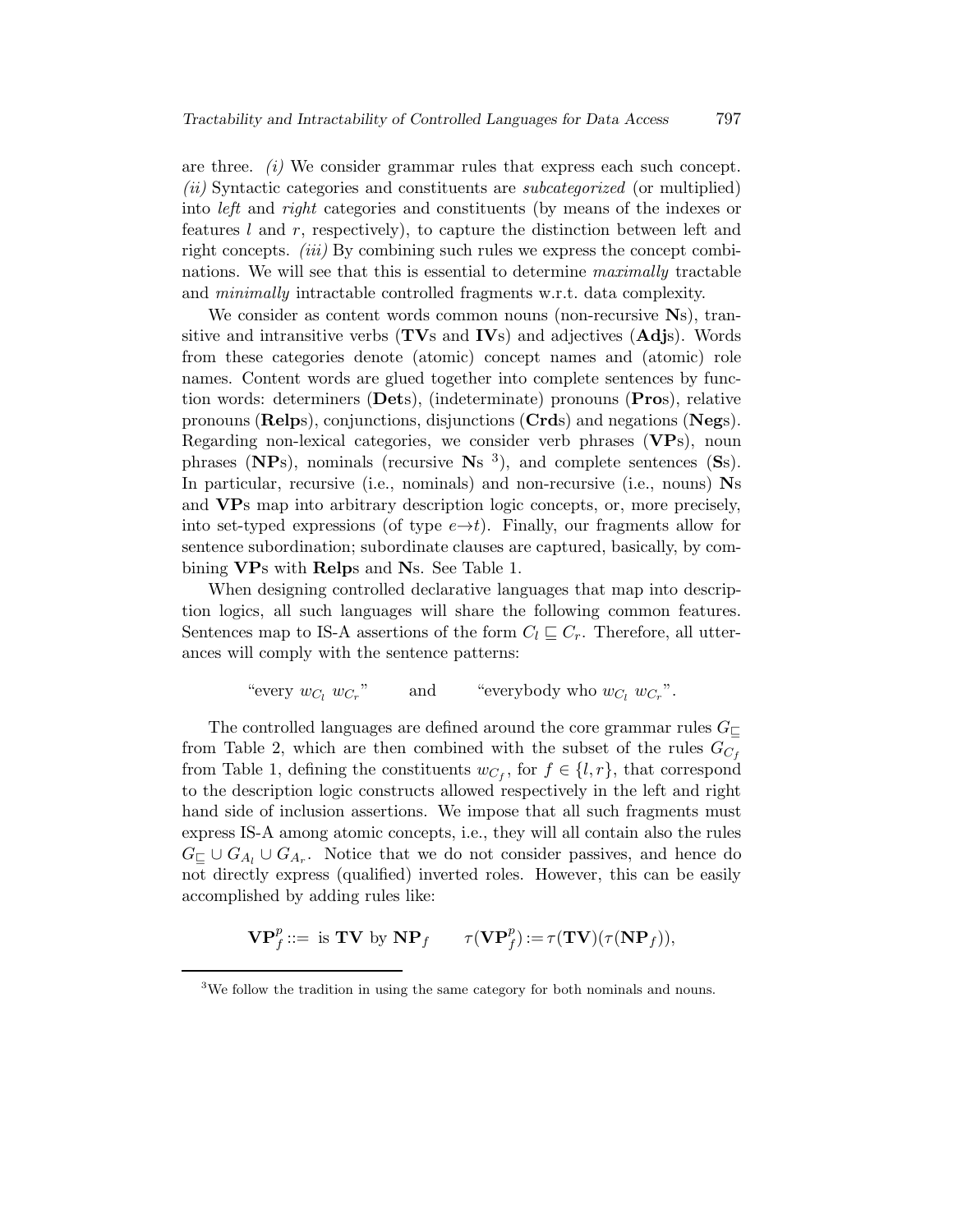are three.  $(i)$  We consider grammar rules that express each such concept. (ii) Syntactic categories and constituents are subcategorized (or multiplied) into left and right categories and constituents (by means of the indexes or features  $l$  and  $r$ , respectively), to capture the distinction between left and right concepts. *(iii)* By combining such rules we express the concept combinations. We will see that this is essential to determine maximally tractable and minimally intractable controlled fragments w.r.t. data complexity.

We consider as content words common nouns (non-recursive Ns), transitive and intransitive verbs  $(TVs)$  and  $IVs)$  and adjectives  $(Adjs)$ . Words from these categories denote (atomic) concept names and (atomic) role names. Content words are glued together into complete sentences by function words: determiners (Dets), (indeterminate) pronouns (Pros), relative pronouns (Relps), conjunctions, disjunctions (Crds) and negations (Negs). Regarding non-lexical categories, we consider verb phrases (VPs), noun phrases ( $NPs$ ), nominals (recursive  $Ns<sup>3</sup>$ ), and complete sentences ( $Ss$ ). In particular, recursive (i.e., nominals) and non-recursive (i.e., nouns) Ns and VPs map into arbitrary description logic concepts, or, more precisely, into set-typed expressions (of type  $e \rightarrow t$ ). Finally, our fragments allow for sentence subordination; subordinate clauses are captured, basically, by combining VPs with Relps and Ns. See Table 1.

When designing controlled declarative languages that map into description logics, all such languages will share the following common features. Sentences map to IS-A assertions of the form  $C_l \sqsubseteq C_r$ . Therefore, all utterances will comply with the sentence patterns:

"every 
$$
w_{C_l} w_{C_r}
$$
" and "everybody who  $w_{C_l} w_{C_r}$ ".

The controlled languages are defined around the core grammar rules  $G_{\square}$ from Table 2, which are then combined with the subset of the rules  $G_{C_f}$ from Table 1, defining the constituents  $w_{C_f}$ , for  $f \in \{l, r\}$ , that correspond to the description logic constructs allowed respectively in the left and right hand side of inclusion assertions. We impose that all such fragments must express IS-A among atomic concepts, i.e., they will all contain also the rules  $G_{\sqsubseteq} \cup G_{A_l} \cup G_{A_r}$ . Notice that we do not consider passives, and hence do not directly express (qualified) inverted roles. However, this can be easily accomplished by adding rules like:

$$
\mathbf{V}\mathbf{P}_f^p ::= \text{ is } \mathbf{TV} \text{ by } \mathbf{NP}_f \qquad \tau(\mathbf{V}\mathbf{P}_f^p) := \tau(\mathbf{TV})(\tau(\mathbf{NP}_f)),
$$

<sup>&</sup>lt;sup>3</sup>We follow the tradition in using the same category for both nominals and nouns.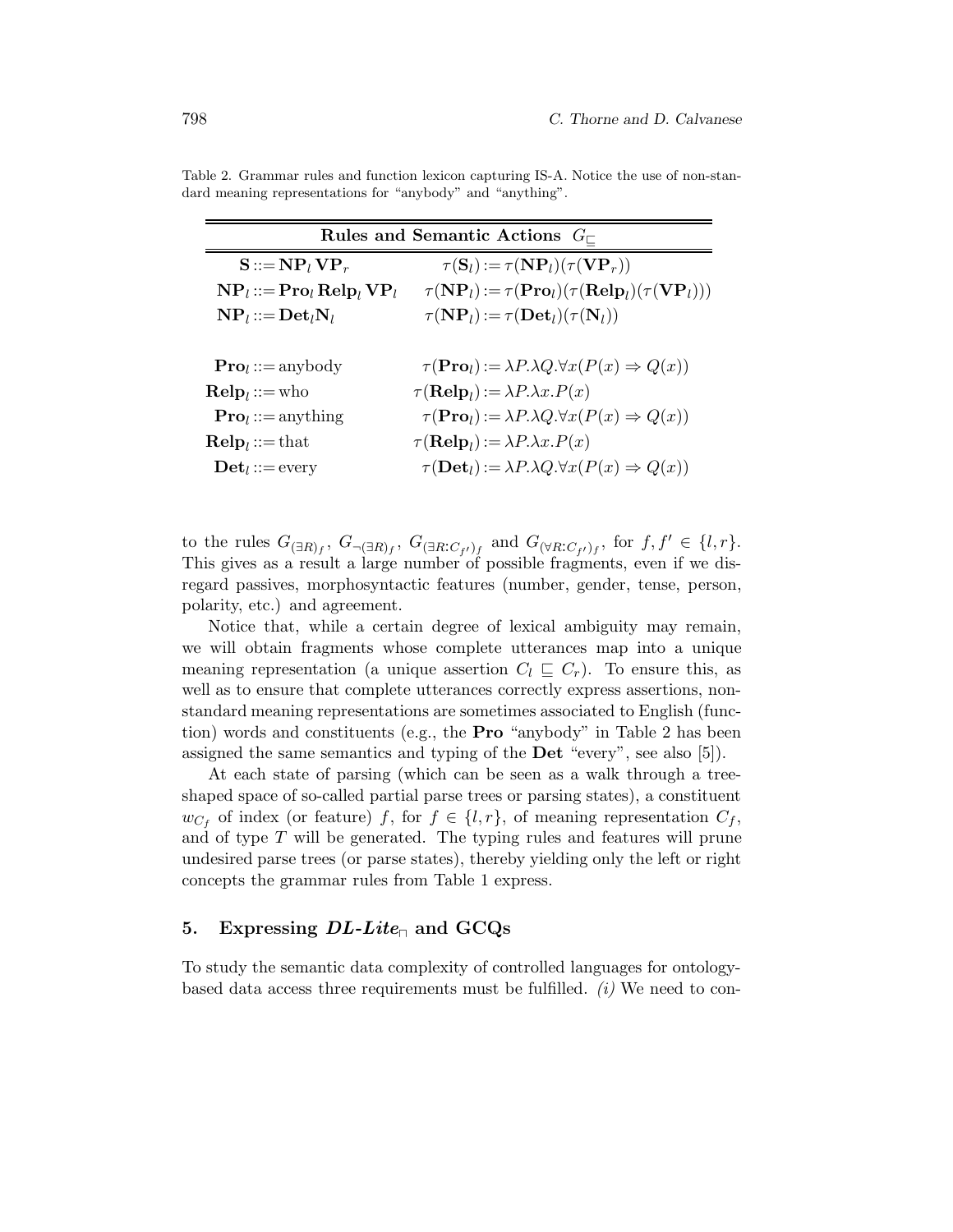| Rules and Semantic Actions $G_{\sqsubset}$                       |                                                                                               |  |  |  |  |
|------------------------------------------------------------------|-----------------------------------------------------------------------------------------------|--|--|--|--|
| $\mathbf{S} ::= \mathbf{NP}_l \mathbf{VP}_r$                     | $\tau(\mathbf{S}_l) := \tau(\mathbf{NP}_l)(\tau(\mathbf{VP}_r))$                              |  |  |  |  |
| $\mathbf{NP}_l ::= \mathbf{Pro}_l \mathbf{Relp}_l \mathbf{VP}_l$ | $\tau(NP_l) := \tau(\mathbf{Pro}_l)(\tau(\mathbf{Relp}_l)(\tau(\mathbf{VP}_l)))$              |  |  |  |  |
| $NP_l ::= Det_l N_l$                                             | $\tau(NP_l) := \tau(\mathbf{Det}_l)(\tau(N_l))$                                               |  |  |  |  |
|                                                                  |                                                                                               |  |  |  |  |
| $\textbf{Pro}_l ::= \text{anybody}$                              | $\tau(\mathbf{Pro}_l) := \lambda P \cdot \lambda Q \cdot \forall x (P(x) \Rightarrow Q(x))$   |  |  |  |  |
| $\mathbf{Relp}_l ::= \text{who}$                                 | $\tau(\mathbf{Relp}_l) := \lambda P \cdot \lambda x \cdot P(x)$                               |  |  |  |  |
| $\textbf{Pro}_l ::= \text{anything}$                             | $\tau(\mathbf{Pro}_{l}) := \lambda P \cdot \lambda Q \cdot \forall x (P(x) \Rightarrow Q(x))$ |  |  |  |  |
| $\textbf{Relp}_l ::= \text{that}$                                | $\tau(\mathbf{Relp}_l) := \lambda P \cdot \lambda x \cdot P(x)$                               |  |  |  |  |
| $\mathbf{Det}_l ::= \text{every}$                                | $\tau(\mathbf{Det}_l) := \lambda P \cdot \lambda Q \cdot \forall x (P(x) \Rightarrow Q(x))$   |  |  |  |  |

Table 2. Grammar rules and function lexicon capturing IS-A. Notice the use of non-standard meaning representations for "anybody" and "anything".

to the rules  $G_{(\exists R)_f}$ ,  $G_{\neg (\exists R)_f}$ ,  $G_{(\exists R:C_{f'})_f}$  and  $G_{(\forall R:C_{f'})_f}$ , for  $f, f' \in \{l, r\}$ . This gives as a result a large number of possible fragments, even if we disregard passives, morphosyntactic features (number, gender, tense, person, polarity, etc.) and agreement.

Notice that, while a certain degree of lexical ambiguity may remain, we will obtain fragments whose complete utterances map into a unique meaning representation (a unique assertion  $C_l \subseteq C_r$ ). To ensure this, as well as to ensure that complete utterances correctly express assertions, nonstandard meaning representations are sometimes associated to English (function) words and constituents (e.g., the Pro "anybody" in Table 2 has been assigned the same semantics and typing of the Det "every", see also [5]).

At each state of parsing (which can be seen as a walk through a treeshaped space of so-called partial parse trees or parsing states), a constituent  $w_{C_f}$  of index (or feature) f, for  $f \in \{l, r\}$ , of meaning representation  $C_f$ , and of type  $T$  will be generated. The typing rules and features will prune undesired parse trees (or parse states), thereby yielding only the left or right concepts the grammar rules from Table 1 express.

### 5. Expressing  $DL\text{-}Lite_{\Box}$  and GCQs

To study the semantic data complexity of controlled languages for ontologybased data access three requirements must be fulfilled.  $(i)$  We need to con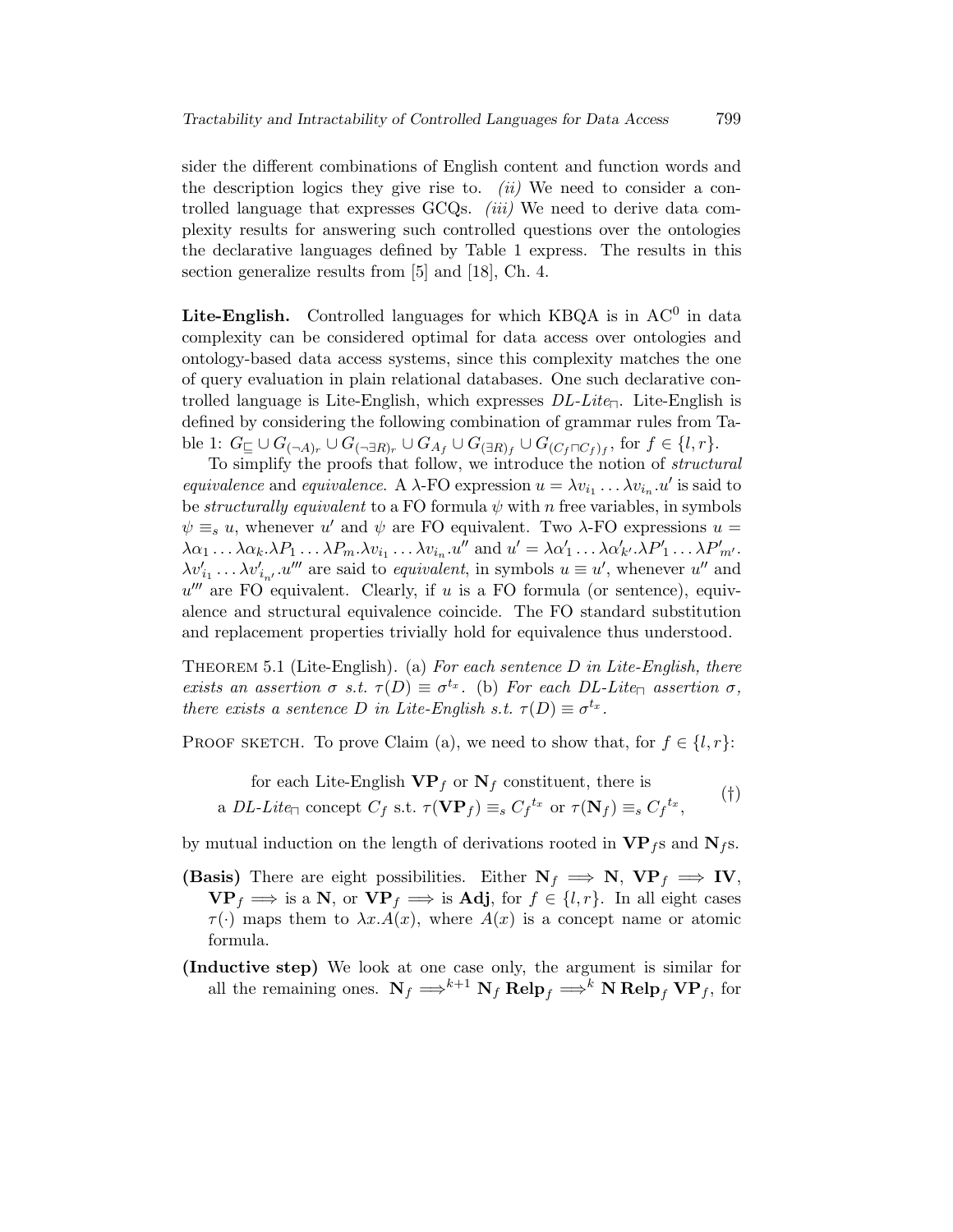sider the different combinations of English content and function words and the description logics they give rise to.  $(ii)$  We need to consider a controlled language that expresses  $\text{GCQs. } (iii)$  We need to derive data complexity results for answering such controlled questions over the ontologies the declarative languages defined by Table 1 express. The results in this section generalize results from [5] and [18], Ch. 4.

Lite-English. Controlled languages for which KBQA is in  $AC^0$  in data complexity can be considered optimal for data access over ontologies and ontology-based data access systems, since this complexity matches the one of query evaluation in plain relational databases. One such declarative controlled language is Lite-English, which expresses  $DL-Lite$ . Lite-English is defined by considering the following combination of grammar rules from Table 1:  $G_{\sqsubseteq}\cup G_{(\neg A)_r}\cup G_{(\neg \exists R)_r}\cup G_{A_f}\cup G_{(\exists R)_f}\cup G_{(C_f\sqcap C_f)_f},$  for  $f\in\{l,r\}.$ 

To simplify the proofs that follow, we introduce the notion of structural equivalence and equivalence. A  $\lambda$ -FO expression  $u = \lambda v_{i_1} \dots \lambda v_{i_n} u'$  is said to be structurally equivalent to a FO formula  $\psi$  with n free variables, in symbols  $\psi \equiv_s u$ , whenever u' and  $\psi$  are FO equivalent. Two  $\lambda$ -FO expressions  $u =$  $\lambda \alpha_1 \dots \lambda \alpha_k \cdot \lambda P_1 \dots \lambda P_m \cdot \lambda v_{i_1} \dots \lambda v_{i_n} \cdot u''$  and  $u' = \lambda \alpha'_1 \dots \lambda \alpha'_{k'} \cdot \lambda P'_1 \dots \lambda P'_{m'}$ .  $\lambda v'_{i_1} \dots \lambda v'_{i_{n'}}$  are said to *equivalent*, in symbols  $u \equiv u'$ , whenever u'' and  $u'''$  are FO equivalent. Clearly, if u is a FO formula (or sentence), equivalence and structural equivalence coincide. The FO standard substitution and replacement properties trivially hold for equivalence thus understood.

THEOREM 5.1 (Lite-English). (a) For each sentence  $D$  in Lite-English, there exists an assertion  $\sigma$  s.t.  $\tau(D) \equiv \sigma^{t_x}$ . (b) For each DL-Lite<sub> $\Box$ </sub> assertion  $\sigma$ , there exists a sentence D in Lite-English s.t.  $\tau(D) \equiv \sigma^{t_x}$ .

PROOF SKETCH. To prove Claim (a), we need to show that, for  $f \in \{l, r\}$ :

for each Life-English 
$$
\mathbf{VP}_f
$$
 or  $\mathbf{N}_f$  constituent, there is  
a *DL-Lite*<sub>¬</sub> concept  $C_f$  s.t.  $\tau(\mathbf{VP}_f) \equiv_s C_f^{t_x}$  or  $\tau(\mathbf{N}_f) \equiv_s C_f^{t_x}$ , (†)

by mutual induction on the length of derivations rooted in  $VP_f s$  and  $N_f s$ .

- (Basis) There are eight possibilities. Either  $N_f \implies N$ ,  $VP_f \implies IV$ ,  $\mathbf{VP}_f \implies$  is a N, or  $\mathbf{VP}_f \implies$  is Adj, for  $f \in \{l, r\}$ . In all eight cases  $\tau(\cdot)$  maps them to  $\lambda x.A(x)$ , where  $A(x)$  is a concept name or atomic formula.
- (Inductive step) We look at one case only, the argument is similar for all the remaining ones.  $N_f \Longrightarrow^{k+1} N_f \text{Relp}_f \Longrightarrow^k N \text{Relp}_f \text{VP}_f$ , for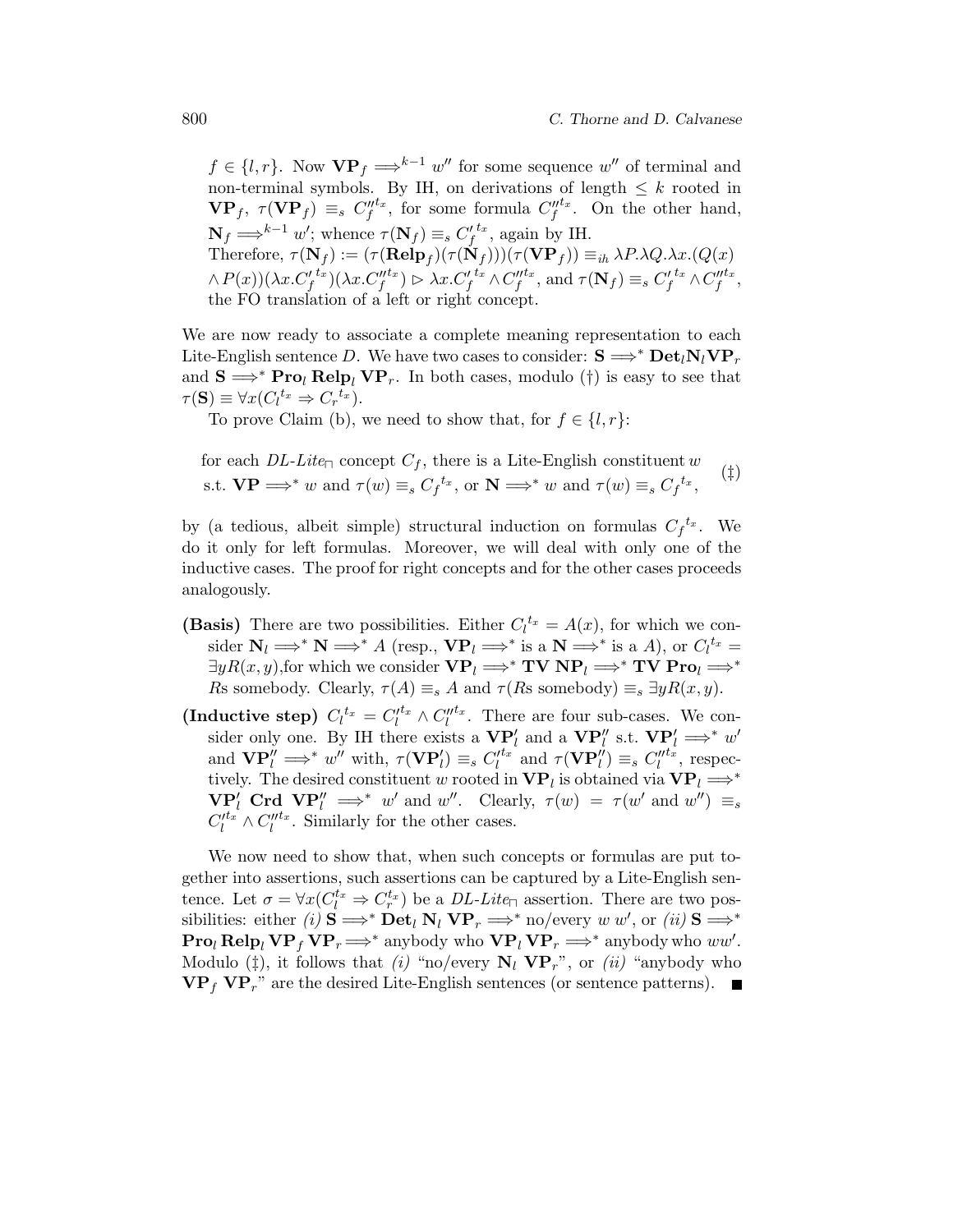$f \in \{l, r\}$ . Now  $\mathbf{VP}_f \Longrightarrow^{k-1} w''$  for some sequence w'' of terminal and non-terminal symbols. By IH, on derivations of length  $\leq k$  rooted in  $\mathbf{VP}_f$ ,  $\tau(\mathbf{VP}_f) \equiv_s C_f^{\mu t_x}$ , for some formula  $C_f^{\mu t_x}$ . On the other hand,  $\mathbf{N}_f \Longrightarrow^{k-1} w'$ ; whence  $\tau(\mathbf{N}_f) \equiv_s C_f'^{t_x}$ , again by IH. Therefore,  $\tau(\mathbf{N}_f) := (\tau(\mathbf{Relp}_f)(\tau(\mathbf{N}_f)))(\tau(\mathbf{VP}_f)) \equiv_{ih} \lambda P. \lambda Q. \lambda x. (Q(x))$  $\wedge P(x))(\lambda x.C'^{t_x}_{f})(\lambda x.C''^{t_x}_{f}) \rhd \lambda x.C'^{t_x}_{f} \wedge C''^{t_x}_{f}, \text{ and } \tau(\mathbf{N}_f) \equiv_s C'^{t_x}_{f} \wedge C'''^{t_x}_{f},$ the FO translation of a left or right concept.

We are now ready to associate a complete meaning representation to each Lite-English sentence D. We have two cases to consider:  $S \implies^* \text{Det}_l N_l \text{VP}_r$ and  $S \implies^* \text{Pro}_l \text{Relp}_l \text{VP}_r$ . In both cases, modulo (†) is easy to see that  $\tau(\mathbf{S}) \equiv \forall x (C_l^{t_x} \Rightarrow C_r^{t_x}).$ 

To prove Claim (b), we need to show that, for  $f \in \{l, r\}$ :

for each 
$$
DL\text{-}Lie_{\Box}
$$
 concept  $C_f$ , there is a Life-English constituent  $w$   
s.t.  $VP \Longrightarrow^* w$  and  $\tau(w) \equiv_s C_f^{t_x}$ , or  $N \Longrightarrow^* w$  and  $\tau(w) \equiv_s C_f^{t_x}$ , (†)

by (a tedious, albeit simple) structural induction on formulas  $C_f^{t_x}$ . We do it only for left formulas. Moreover, we will deal with only one of the inductive cases. The proof for right concepts and for the other cases proceeds analogously.

- (Basis) There are two possibilities. Either  $C_l^{tx} = A(x)$ , for which we consider  $N_l \Longrightarrow^* N \Longrightarrow^* A$  (resp.,  $VP_l \Longrightarrow^*$  is a  $N \Longrightarrow^*$  is a  $A$ ), or  $C_l^{tx} =$  $\exists y R(x, y)$ , for which we consider  $VP_l \Longrightarrow^* TV NP_l \Longrightarrow^* TV Pro_l \Longrightarrow^*$ Rs somebody. Clearly,  $\tau(A) \equiv_s A$  and  $\tau(Rs$  somebody)  $\equiv_s \exists y R(x, y)$ .
- (Inductive step)  $C_l^{t_x} = C_l^{t_x} \wedge C_l^{t_x}$ . There are four sub-cases. We consider only one. By IH there exists a  $VP'_l$  and a  $VP''_l$  s.t.  $VP'_l \implies^* w'$ and  $\mathbf{VP}_l^{\prime\prime} \Longrightarrow^* w^{\prime\prime}$  with,  $\tau(\mathbf{VP}_l^{\prime}) \equiv_s C_l^{\prime t_x}$  and  $\tau(\mathbf{VP}_l^{\prime\prime}) \equiv_s C_l^{\prime \prime t_x}$ , respectively. The desired constituent w rooted in  $VP_l$  is obtained via  $VP_l \Longrightarrow^*$  $\mathbf{V} \mathbf{P}'_l$  Crd  $\mathbf{V} \mathbf{P}''_l \implies^* w'$  and w''. Clearly,  $\tau(w) = \tau(w' \text{ and } w'') \equiv_s$  $C_l'^{t_x} \wedge C_l''^{t_x}$ . Similarly for the other cases.

We now need to show that, when such concepts or formulas are put together into assertions, such assertions can be captured by a Lite-English sentence. Let  $\sigma = \forall x (C_l^{t_x} \Rightarrow C_r^{t_x})$  be a *DL-Lite*<sub> $\Box$ </sub> assertion. There are two possibilities: either (i)  $S \Longrightarrow^* \textbf{Det}_l \mathbf{N}_l \mathbf{VP}_r \Longrightarrow^* \textbf{no/every } w \ w'$ , or (ii)  $S \Longrightarrow^*$  $\mathbf{Proj} \mathbf{Relp}_l \mathbf{VP}_f \mathbf{VP}_r \Longrightarrow^* \text{anybody who } \mathbf{VP}_l \mathbf{VP}_r \Longrightarrow^* \text{anybody who } ww'.$ Modulo ( $\ddagger$ ), it follows that *(i)* "no/every  $N_l$   $VP_r$ ", or *(ii)* "anybody who  $\mathbf{VP}_f \mathbf{VP}_r$ " are the desired Lite-English sentences (or sentence patterns).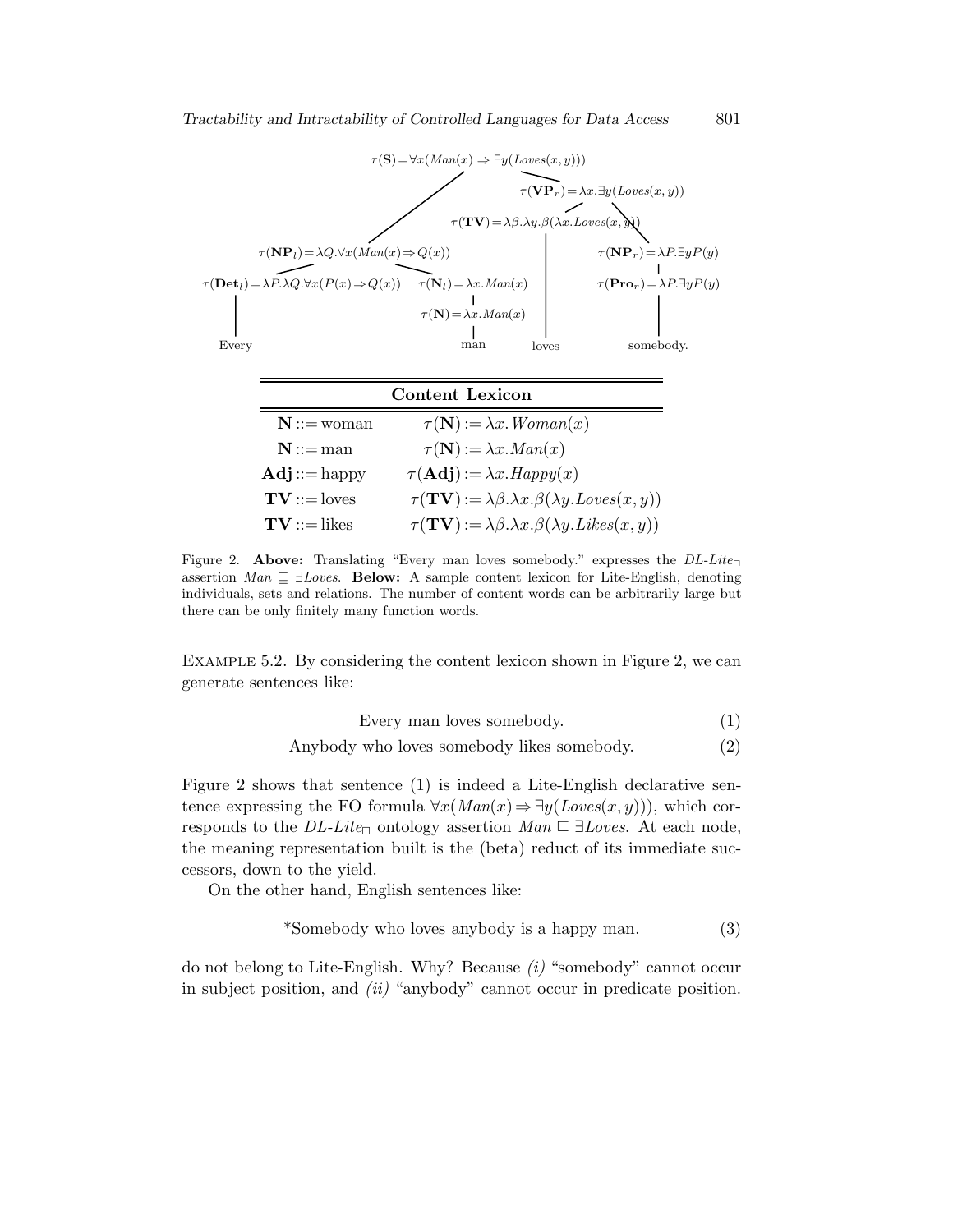

|                                   | Content Lexicon                                                                             |
|-----------------------------------|---------------------------------------------------------------------------------------------|
| $N ::=$ woman                     | $\tau(\mathbf{N}) := \lambda x.$ Woman $(x)$                                                |
| $N ::= man$                       | $\tau(\mathbf{N}) := \lambda x \cdot Man(x)$                                                |
| $\mathbf{Adj} ::= \mathrm{happy}$ | $\tau(\mathbf{Adj}) := \lambda x. \text{Happy}(x)$                                          |
| $TV ::=$ loves                    | $\tau(TV) := \lambda \beta \cdot \lambda x \cdot \beta(\lambda y \cdot Loves(x, y))$        |
| $TV ::=$ likes                    | $\tau(TV) := \lambda \beta \cdot \lambda x \cdot \beta(\lambda y \cdot \text{Likes}(x, y))$ |

Figure 2. Above: Translating "Every man loves somebody." expresses the  $DL-Lite_{\Box}$ assertion Man  $\sqsubseteq \exists Loves.$  Below: A sample content lexicon for Lite-English, denoting individuals, sets and relations. The number of content words can be arbitrarily large but there can be only finitely many function words.

Example 5.2. By considering the content lexicon shown in Figure 2, we can generate sentences like:

Every man loves somebody. 
$$
(1)
$$

Anybody who loves somebody likes somebody. (2)

Figure 2 shows that sentence (1) is indeed a Lite-English declarative sentence expressing the FO formula  $\forall x (Man(x) \Rightarrow \exists y (Loves(x, y))),$  which corresponds to the  $DL\text{-}Lie_{\Box}$  ontology assertion  $Man \sqsubseteq \exists Loves$ . At each node, the meaning representation built is the (beta) reduct of its immediate successors, down to the yield.

On the other hand, English sentences like:

$$
*Somebody who loves anybody is a happy man. \tag{3}
$$

do not belong to Lite-English. Why? Because  $(i)$  "somebody" cannot occur in subject position, and  $(ii)$  "anybody" cannot occur in predicate position.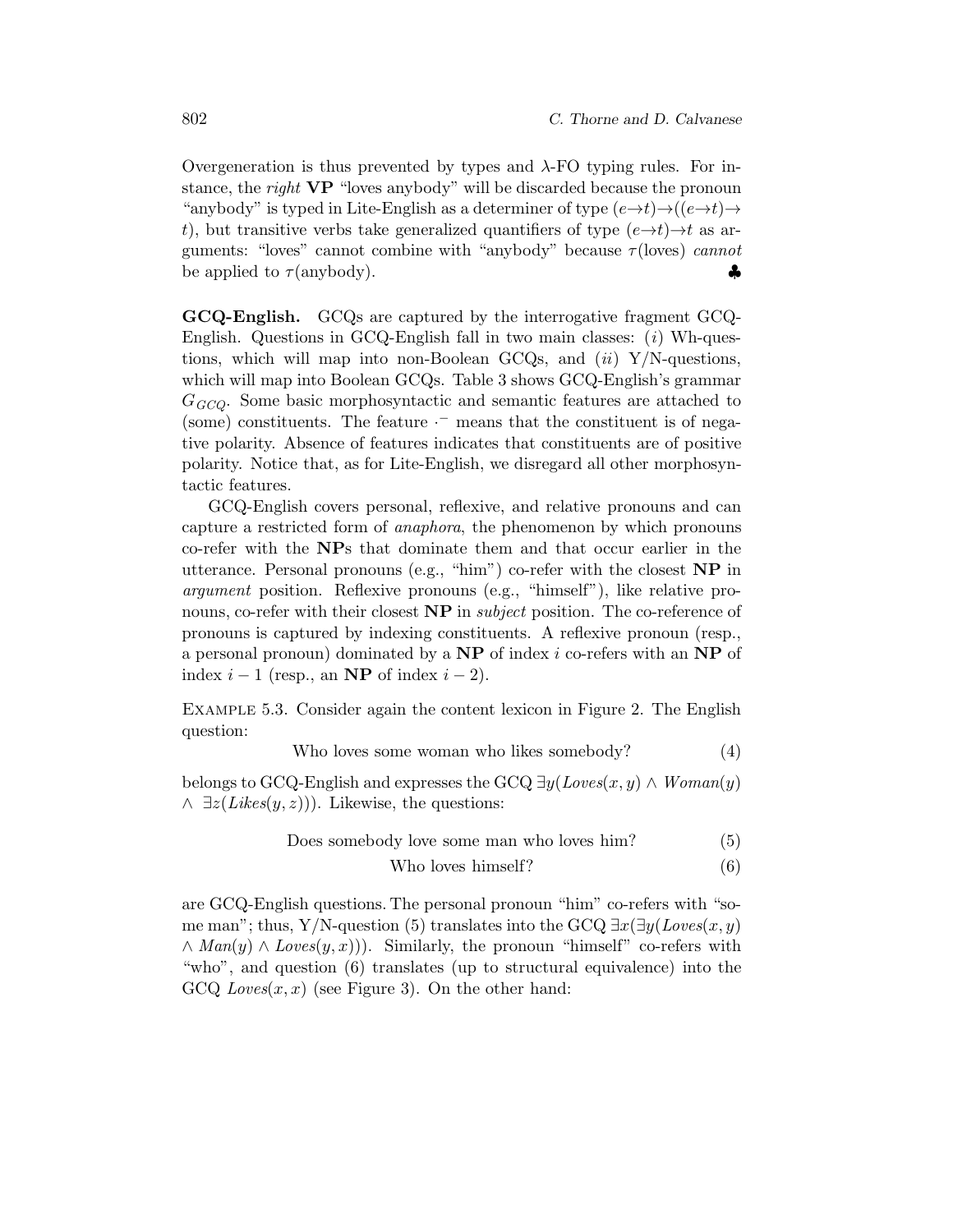Overgeneration is thus prevented by types and λ-FO typing rules. For instance, the *right* VP "loves anybody" will be discarded because the pronoun "anybody" is typed in Lite-English as a determiner of type  $(e \rightarrow t) \rightarrow ((e \rightarrow t) \rightarrow$ t), but transitive verbs take generalized quantifiers of type  $(e \rightarrow t) \rightarrow t$  as arguments: "loves" cannot combine with "anybody" because  $\tau$ (loves) cannot be applied to  $\tau$ (anybody).

GCQ-English. GCQs are captured by the interrogative fragment GCQ-English. Questions in GCQ-English fall in two main classes:  $(i)$  Wh-questions, which will map into non-Boolean GCQs, and  $(ii)$  Y/N-questions, which will map into Boolean GCQs. Table 3 shows GCQ-English's grammar  $G_{\text{GCO}}$ . Some basic morphosyntactic and semantic features are attached to (some) constituents. The feature  $\cdot$  means that the constituent is of negative polarity. Absence of features indicates that constituents are of positive polarity. Notice that, as for Lite-English, we disregard all other morphosyntactic features.

GCQ-English covers personal, reflexive, and relative pronouns and can capture a restricted form of anaphora, the phenomenon by which pronouns co-refer with the NPs that dominate them and that occur earlier in the utterance. Personal pronouns (e.g., "him") co-refer with the closest NP in argument position. Reflexive pronouns (e.g., "himself"), like relative pronouns, co-refer with their closest **NP** in *subject* position. The co-reference of pronouns is captured by indexing constituents. A reflexive pronoun (resp., a personal pronoun) dominated by a  $NP$  of index i co-refers with an  $NP$  of index  $i - 1$  (resp., an **NP** of index  $i - 2$ ).

Example 5.3. Consider again the content lexicon in Figure 2. The English question:

Who loves some woman who likes somebody?

\n
$$
\tag{4}
$$

belongs to GCQ-English and expresses the GCQ  $\exists y (Loves(x, y) \land Woman(y))$  $\wedge \exists z(Likes(y, z))$ . Likewise, the questions:

Does somebody love some man who loves him? 
$$
(5)
$$

$$
Who loves himself? \t\t(6)
$$

are GCQ-English questions. The personal pronoun "him" co-refers with "some man"; thus, Y/N-question (5) translates into the GCQ  $\exists x(\exists y(Loves(x, y))$  $\wedge$  Man(y)  $\wedge$  Loves(y, x))). Similarly, the pronoun "himself" co-refers with "who", and question (6) translates (up to structural equivalence) into the  $GCQ Loves(x, x)$  (see Figure 3). On the other hand: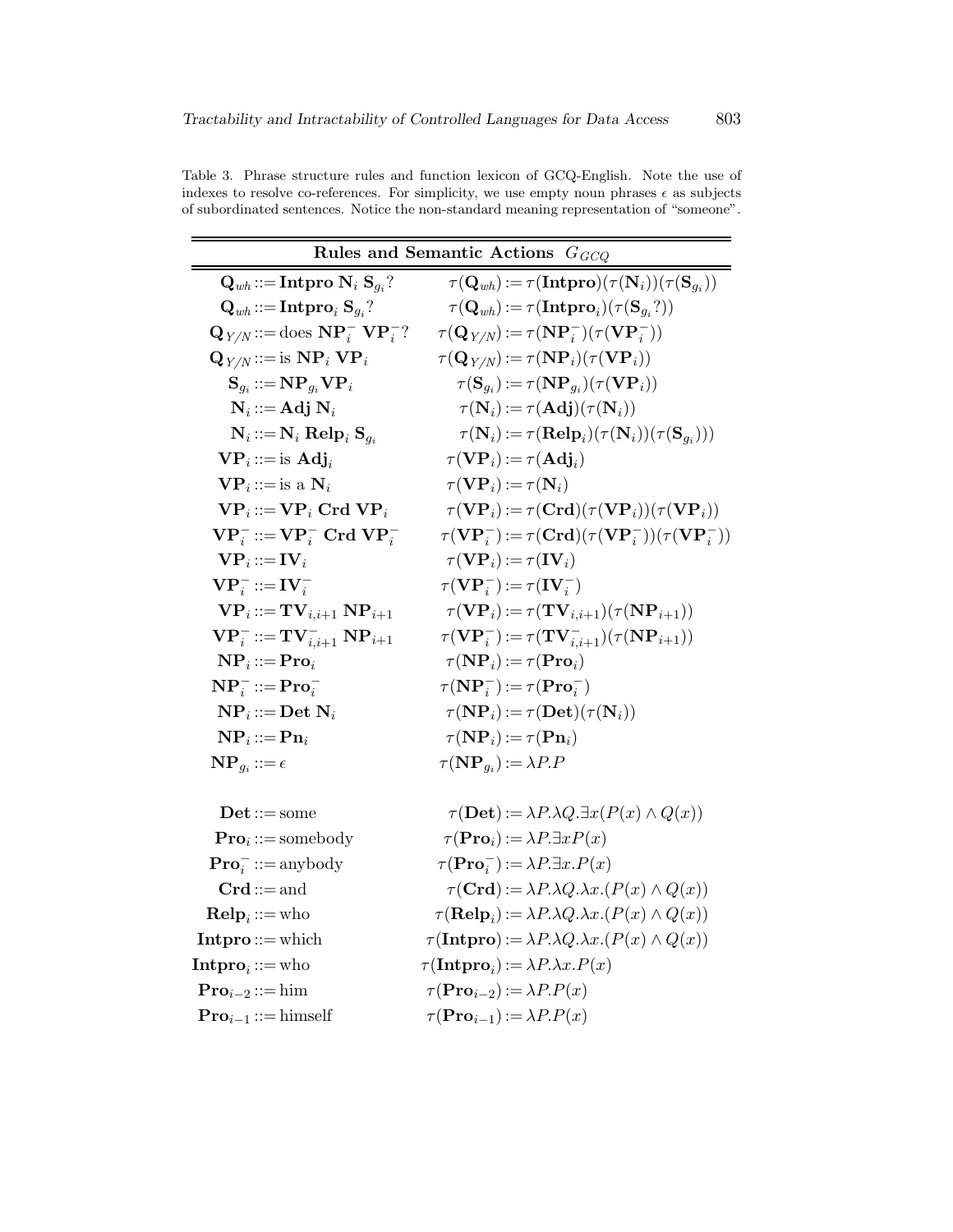|  |  |  | Table 3. Phrase structure rules and function lexicon of GCQ-English. Note the use of               |  |  |
|--|--|--|----------------------------------------------------------------------------------------------------|--|--|
|  |  |  | indexes to resolve co-references. For simplicity, we use empty noun phrases $\epsilon$ as subjects |  |  |
|  |  |  | of subordinated sentences. Notice the non-standard meaning representation of "someone".            |  |  |

|                                                                                | Rules and Semantic Actions $G_{GCO}$                                                          |
|--------------------------------------------------------------------------------|-----------------------------------------------------------------------------------------------|
| $\mathbf{Q}_{wh} ::= \textbf{Intpro } \mathbf{N}_i \; \mathbf{S}_{g_i} ?$      | $\tau(\mathbf{Q}_{wh}) := \tau(\mathbf{Intpro})(\tau(\mathbf{N}_i)) (\tau(\mathbf{S}_{q_i}))$ |
| $\mathbf{Q}_{wh} ::= \mathbf{Intpro}_i \mathbf{S}_{q_i}$ ?                     | $\tau(\mathbf{Q}_{wh}) := \tau(\mathbf{Intpro}_i)(\tau(\mathbf{S}_{g_i}?))$                   |
| $\mathbf{Q}_{Y/N} ::= \text{does } \mathbf{NP}_i^- \mathbf{VP}_i^-?$           | $\tau(\mathbf{Q}_{Y/N}) := \tau(\mathbf{NP}_i^-)(\tau(\mathbf{VP}_i^-))$                      |
| $\mathbf{Q}_{Y/N} ::= \text{is } \mathbf{NP}_i \mathbf{VP}_i$                  | $\tau(\mathbf{Q}_{Y/N}) := \tau(\mathbf{NP}_i)(\tau(\mathbf{VP}_i))$                          |
| $\mathbf{S}_{q_i} ::= \mathbf{NP}_{g_i} \mathbf{VP}_i$                         | $\tau(\mathbf{S}_{q_i}) := \tau(\mathbf{NP}_{q_i}) (\tau(\mathbf{VP}_i))$                     |
| $N_i ::= Adj N_i$                                                              | $\tau(\mathbf{N}_i) := \tau(\mathbf{Adj})(\tau(\mathbf{N}_i))$                                |
| $N_i ::= N_i$ Relp <sub>i</sub> $S_{a_i}$                                      | $\tau(\mathbf{N}_i) := \tau(\mathbf{Relp}_i)(\tau(\mathbf{N}_i))(\tau(\mathbf{S}_{g_i})))$    |
| $VP_i ::=$ is $Adj_i$                                                          | $\tau(V{\bf P}_i):=\tau({\bf Adj}_i)$                                                         |
| $\mathbf{VP}_i ::= \text{is a } \mathbf{N}_i$                                  | $\tau(V{\bf P}_i):=\tau({\bf N}_i)$                                                           |
| $\mathbf{VP}_i ::= \mathbf{VP}_i \ \mathbf{Crd} \ \mathbf{VP}_i$               | $\tau(\mathbf{VP}_i) := \tau(\mathbf{Crd})(\tau(\mathbf{VP}_i))(\tau(\mathbf{VP}_i))$         |
| $\mathbf{VP}_{i}^{-} ::= \mathbf{VP}_{i}^{-} \mathbf{Crd} \mathbf{VP}_{i}^{-}$ | $\tau(V{\bf P}_i^-):=\tau({\bf Crd})(\tau(V{\bf P}_i^-))(\tau(V{\bf P}_i^-))$                 |
| $\mathbf{VP}_i ::= \mathbf{IV}_i$                                              | $\tau(V{\bf P}_i):=\tau({\bf IV}_i)$                                                          |
| $\mathbf{VP}_{i}^{-} ::= \mathbf{IV}_{i}^{-}$                                  | $\tau(\mathbf{VP}_{i}^{-}) := \tau(\mathbf{IV}_{i}^{-})$                                      |
| $\mathbf{VP}_i ::= \mathbf{TV}_{i.i+1} \mathbf{NP}_{i+1}$                      | $\tau(\mathbf{VP}_i) := \tau(\mathbf{TV}_{i,i+1})(\tau(\mathbf{NP}_{i+1}))$                   |
| $VP_i^- ::= TV_{i,i+1}^- NP_{i+1}$                                             | $\tau(\mathbf{VP}_{i}^{-}):=\tau(\mathbf{TV}_{i,i+1}^{-})(\tau(\mathbf{NP}_{i+1}))$           |
| $\mathbf{NP}_i ::= \mathbf{Pro}_i$                                             | $\tau(NP_i) := \tau(\textbf{Pro}_i)$                                                          |
| $\mathbf{NP}_{i}^{-} ::= \mathbf{Pro}_{i}^{-}$                                 | $\tau(\mathbf{NP}_i^-):=\tau(\mathbf{Pro}_i^-)$                                               |
| $\mathbf{NP}_i ::= \mathbf{Det} \ \mathbf{N}_i$                                | $\tau(NP_i) := \tau(\textbf{Det})(\tau(N_i))$                                                 |
| $\mathbf{NP}_i ::= \mathbf{P}\mathbf{n}_i$                                     | $\tau(NP_i) := \tau(Pn_i)$                                                                    |
| $\mathbf{NP}_{q_i} ::= \epsilon$                                               | $\tau(NP_{q_i}) := \lambda P.P$                                                               |
|                                                                                |                                                                                               |
| $\mathbf{Det} ::= \mathrm{some}$                                               | $\tau(\mathbf{Det}) := \lambda P \cdot \lambda Q \cdot \exists x (P(x) \wedge Q(x))$          |
| $Pro_i ::=$ somebody                                                           | $\tau(\mathbf{Pro}_i) := \lambda P \exists x P(x)$                                            |
| $\textbf{Pro}_{i}^{-} ::= \text{anybody}$                                      | $\tau(\mathbf{Pro}_i^-):=\lambda P.\exists x.P(x)$                                            |
| $Crd ::= and$                                                                  | $\tau(\mathbf{Crd}) := \lambda P \cdot \lambda Q \cdot \lambda x \cdot (P(x) \wedge Q(x))$    |
| $\mathbf{Relp}_i ::= \text{who}$                                               | $\tau(\mathbf{Relp}_i) := \lambda P \cdot \lambda Q \cdot \lambda x \cdot (P(x) \wedge Q(x))$ |
| $Intro ::= which$                                                              | $\tau(\textbf{Intpro}) := \lambda P \cdot \lambda Q \cdot \lambda x \cdot (P(x) \wedge Q(x))$ |
| Intpro <sub>i</sub> : $:=$ who                                                 | $\tau(\mathbf{Intpro}_i) := \lambda P \cdot \lambda x \cdot P(x)$                             |
| $Pro_{i-2} ::= \text{him}$                                                     | $\tau(\mathbf{Pro}_{i-2}) := \lambda P.P(x)$                                                  |

 $\mathbf{Pro}_{i-1} ::= \text{himself} \qquad \qquad \tau(\mathbf{Pro}_{i-1}) := \lambda P.P(x)$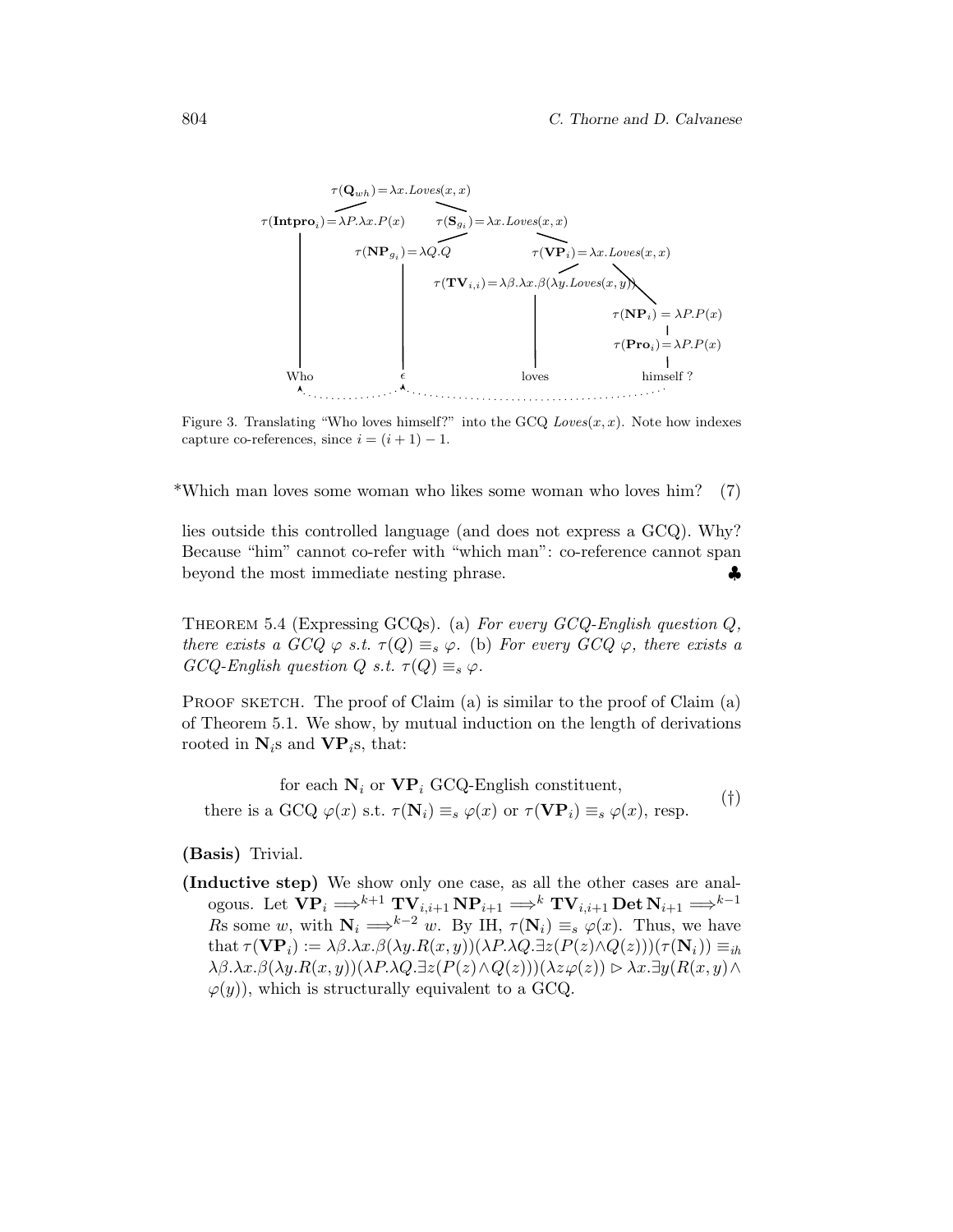

Figure 3. Translating "Who loves himself?" into the GCQ  $Loves(x, x)$ . Note how indexes capture co-references, since  $i = (i + 1) - 1$ .

\*Which man loves some woman who likes some woman who loves him? (7)

lies outside this controlled language (and does not express a GCQ). Why? Because "him" cannot co-refer with "which man": co-reference cannot span beyond the most immediate nesting phrase. ♦

THEOREM 5.4 (Expressing GCQs). (a) For every  $GCO$ -English question  $Q$ . there exists a  $GCQ \varphi$  s.t.  $\tau(Q) \equiv_s \varphi$ . (b) For every  $GCQ \varphi$ , there exists a  $GCQ\text{-}English question Q s.t. \tau(Q) \equiv_s \varphi.$ 

PROOF SKETCH. The proof of Claim  $(a)$  is similar to the proof of Claim  $(a)$ of Theorem 5.1. We show, by mutual induction on the length of derivations rooted in  $N_i$ s and  $VP_i$ s, that:

for each  $N_i$  or  $\mathbf{VP}_i$  GCQ-English constituent, there is a GCQ  $\varphi(x)$  s.t.  $\tau(\mathbf{N}_i) \equiv_s \varphi(x)$  or  $\tau(\mathbf{VP}_i) \equiv_s \varphi(x)$ , resp. (†)

(Basis) Trivial.

(Inductive step) We show only one case, as all the other cases are analogous. Let  $\overrightarrow{VP}_i \Longrightarrow^{k+1} \mathbf{TV}_{i,i+1} \mathbf{NP}_{i+1} \Longrightarrow^k \mathbf{TV}_{i,i+1} \mathbf{Det} \mathbf{N}_{i+1} \Longrightarrow^{k-1}$ Rs some w, with  $N_i \Longrightarrow^{k-2} w$ . By IH,  $\tau(N_i) \equiv_s \varphi(x)$ . Thus, we have that  $\tau(\mathbf{VP}_i) := \lambda \beta \cdot \lambda x \cdot \beta(\lambda y \cdot R(x, y))(\lambda P \cdot \lambda Q \cdot \exists z (P(z) \wedge Q(z)))(\tau(\mathbf{N}_i)) \equiv_{ih}$  $\lambda \beta.\lambda x.\beta(\lambda y.R(x,y))(\lambda P.\lambda Q.\exists z(P(z)\land Q(z)))(\lambda z.\varphi(z)) \triangleright \lambda x.\exists y(R(x,y)\land Q(z))$  $\varphi(y)$ , which is structurally equivalent to a GCQ.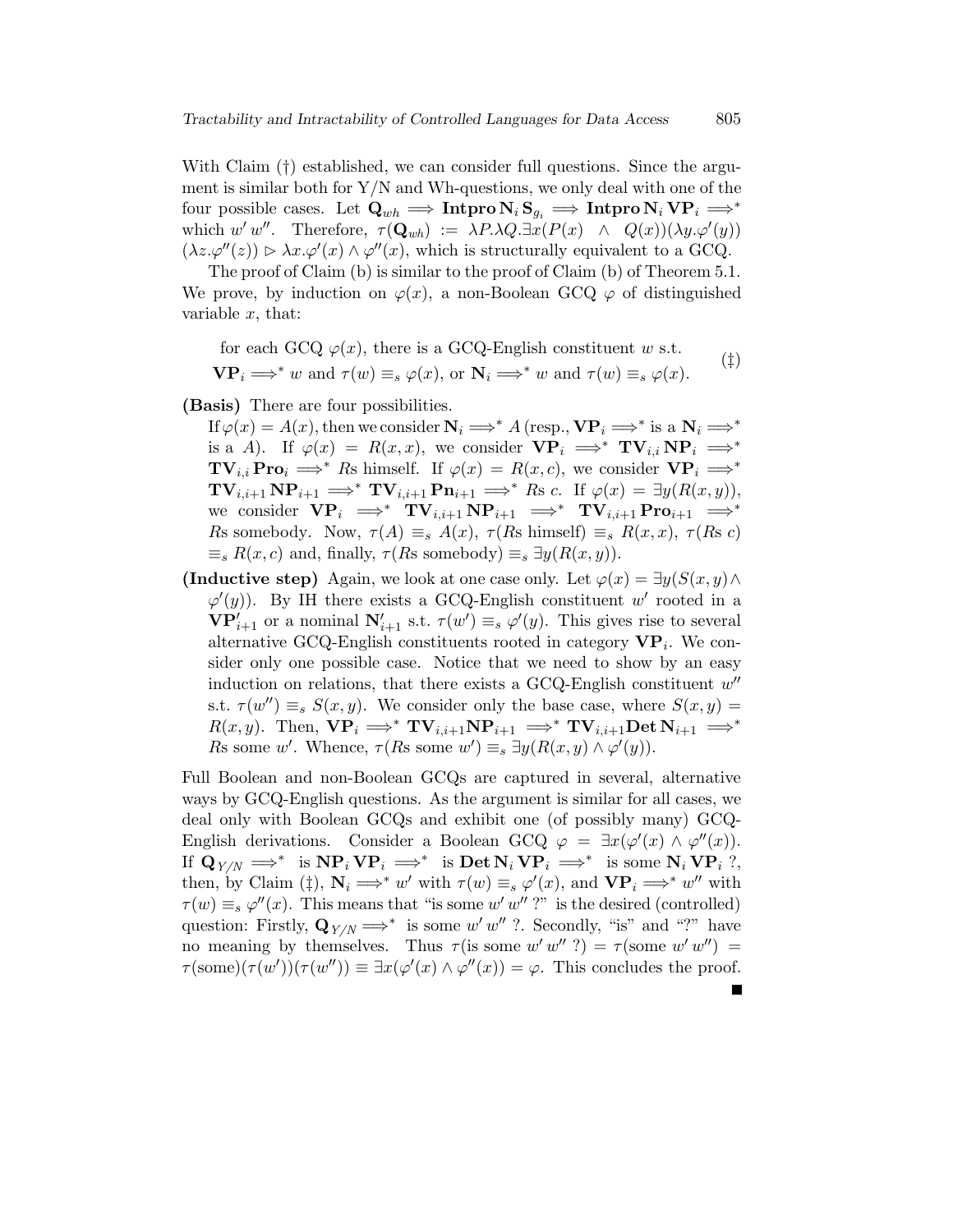With Claim (†) established, we can consider full questions. Since the argument is similar both for  $Y/N$  and Wh-questions, we only deal with one of the four possible cases. Let  $\mathbf{Q}_{wh} \implies \textbf{Intpro } \mathbf{N}_i \mathbf{S}_{q_i} \implies \textbf{Intpro } \mathbf{N}_i \mathbf{VP}_i \implies^*$ which  $w'w''$ . Therefore,  $\tau(\mathbf{Q}_{wh}) := \lambda P \lambda Q \exists x (P(x) \land Q(x)) (\lambda y \cdot \varphi'(y))$  $(\lambda z.\varphi''(z)) \triangleright \lambda x.\varphi'(x) \wedge \varphi''(x)$ , which is structurally equivalent to a GCQ.

The proof of Claim (b) is similar to the proof of Claim (b) of Theorem 5.1. We prove, by induction on  $\varphi(x)$ , a non-Boolean GCQ  $\varphi$  of distinguished variable  $x$ , that:

for each GCQ 
$$
\varphi(x)
$$
, there is a GCQ-English constituent  $w$  s.t.  
\n $\mathbf{VP}_i \Longrightarrow^* w$  and  $\tau(w) \equiv_s \varphi(x)$ , or  $\mathbf{N}_i \Longrightarrow^* w$  and  $\tau(w) \equiv_s \varphi(x)$ . (†)

(Basis) There are four possibilities.

- If  $\varphi(x) = A(x)$ , then we consider  $N_i \Longrightarrow^* A$  (resp.,  $VP_i \Longrightarrow^*$  is a  $N_i \Longrightarrow^*$ is a A). If  $\varphi(x) = R(x, x)$ , we consider  $VP_i \implies^* TV_{i,i} NP_i \implies^*$  $\mathbf{TV}_{i,i}$  Pro $_i \implies^*$  Rs himself. If  $\varphi(x) = R(x, c)$ , we consider  $\mathbf{VP}_i \implies^*$  $\mathbf{TV}_{i,i+1} \mathbf{NP}_{i+1} \Longrightarrow^* \mathbf{TV}_{i,i+1} \mathbf{Pn}_{i+1} \Longrightarrow^* \mathbf{Rs} \ c. \ \ \text{If} \ \varphi(x) = \exists y(R(x,y)),$ we consider  $\mathbf{VP}_i \implies \mathbf{TV}_{i,i+1} \mathbf{NP}_{i+1} \implies \mathbf{TV}_{i,i+1} \mathbf{Pro}_{i+1} \implies^*$ Rs somebody. Now,  $\tau(A) \equiv_s A(x)$ ,  $\tau(Rs \text{ himself}) \equiv_s R(x, x)$ ,  $\tau(Rs c)$  $\equiv_s R(x, c)$  and, finally,  $\tau(Rs$  somebody)  $\equiv_s \exists y(R(x, y))$ .
- (Inductive step) Again, we look at one case only. Let  $\varphi(x) = \exists y(S(x, y) \land y)$  $\varphi'(y)$ . By IH there exists a GCQ-English constituent w' rooted in a  $\mathbf{VP}_{i+1}'$  or a nominal  $\mathbf{N}_{i+1}'$  s.t.  $\tau(w') \equiv_s \varphi'(y)$ . This gives rise to several alternative GCQ-English constituents rooted in category  $\mathbf{VP}_i$ . We consider only one possible case. Notice that we need to show by an easy induction on relations, that there exists a GCQ-English constituent  $w''$ s.t.  $\tau(w'') \equiv_s S(x, y)$ . We consider only the base case, where  $S(x, y) =$  $R(x, y)$ . Then,  $\mathbf{VP}_i \Longrightarrow^* \mathbf{TV}_{i,i+1} \mathbf{NP}_{i+1} \Longrightarrow^* \mathbf{TV}_{i,i+1} \mathbf{Det } \mathbf{N}_{i+1} \Longrightarrow^*$ Rs some w'. Whence,  $\tau(Rs \text{ some } w') \equiv_s \exists y (R(x, y) \wedge \varphi'(y)).$

Full Boolean and non-Boolean GCQs are captured in several, alternative ways by GCQ-English questions. As the argument is similar for all cases, we deal only with Boolean GCQs and exhibit one (of possibly many) GCQ-English derivations. Consider a Boolean GCQ  $\varphi = \exists x (\varphi'(x) \land \varphi''(x))$ . If  $\mathbf{Q}_{Y/N} \implies^*$  is  $\mathbf{NP}_i \mathbf{VP}_i \implies^*$  is  $\mathbf{Det} \mathbf{N}_i \mathbf{VP}_i \implies^*$  is some  $\mathbf{N}_i \mathbf{VP}_i$  ?, then, by Claim (‡),  $N_i \Longrightarrow^* w'$  with  $\tau(w) \equiv_s \varphi'(x)$ , and  $VP_i \Longrightarrow^* w''$  with  $\tau(w) \equiv_s \varphi''(x)$ . This means that "is some w' w"?" is the desired (controlled) question: Firstly,  $\mathbf{Q}_{Y/N} \Longrightarrow^*$  is some w' w"?. Secondly, "is" and "?" have no meaning by themselves. Thus  $\tau$  (is some w' w" ?) =  $\tau$  (some w' w") =  $\tau(\text{some})(\tau(w'))(\tau(w'')) \equiv \exists x (\varphi'(x) \land \varphi''(x)) = \varphi$ . This concludes the proof.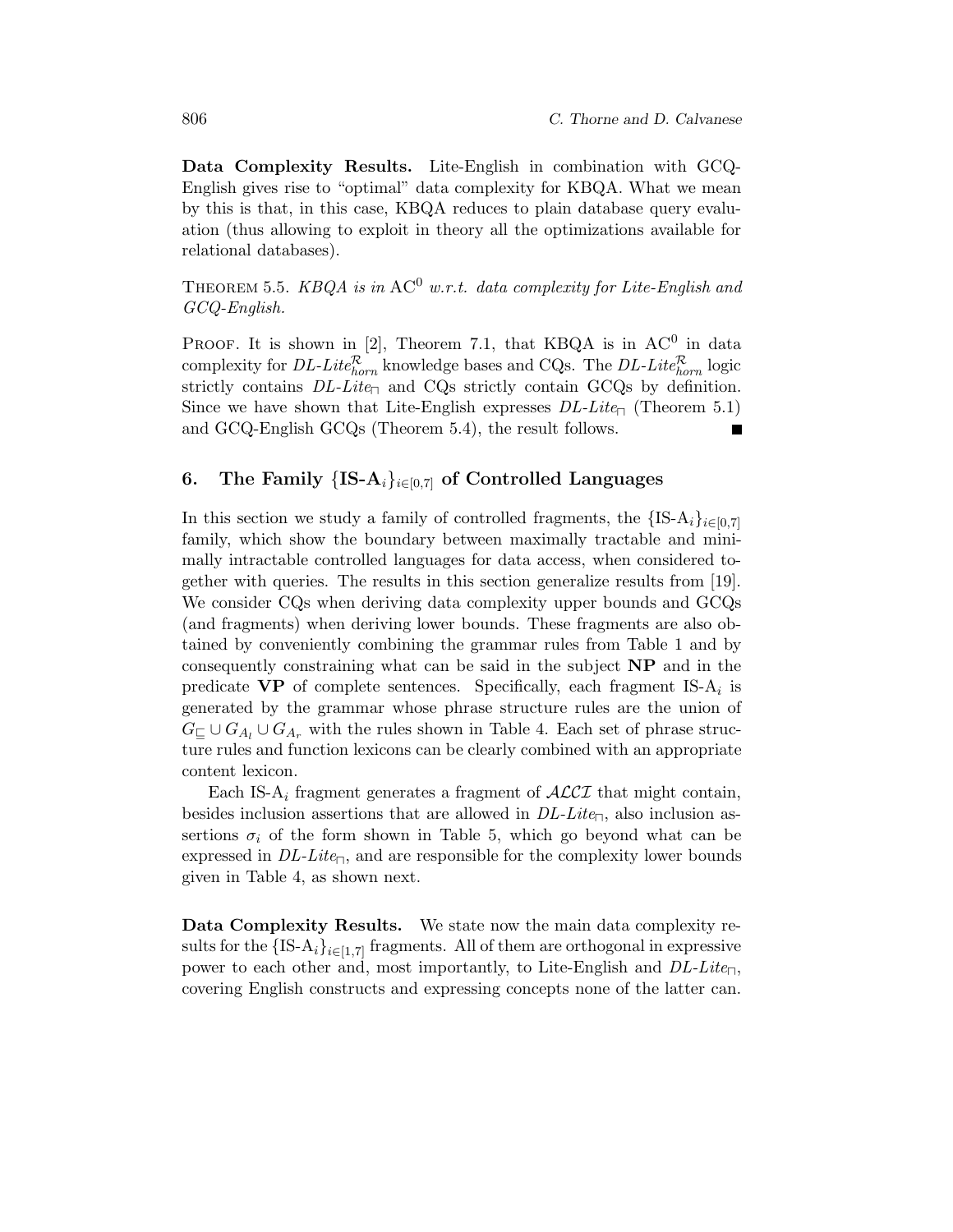Data Complexity Results. Lite-English in combination with GCQ-English gives rise to "optimal" data complexity for KBQA. What we mean by this is that, in this case, KBQA reduces to plain database query evaluation (thus allowing to exploit in theory all the optimizations available for relational databases).

THEOREM 5.5.  $KBQA$  is in  $AC^0$  w.r.t. data complexity for Lite-English and GCQ-English.

PROOF. It is shown in [2], Theorem 7.1, that KBQA is in  $AC^0$  in data complexity for *DL-Lite*<sup> $R$ </sup><sub>horn</sub> knowledge bases and CQs. The *DL-Lite*<sup> $R$ </sup><sub>horn</sub> logic strictly contains  $DL\text{-}Lite_{\Box}$  and CQs strictly contain GCQs by definition. Since we have shown that Lite-English expresses  $DL\text{-}Lie_{\Box}$  (Theorem 5.1) and GCQ-English GCQs (Theorem 5.4), the result follows.

## 6. The Family  ${IS-A_i}_{i\in[0,7]}$  of Controlled Languages

In this section we study a family of controlled fragments, the  ${IS-A<sub>i</sub>}<sub>i∈[0,7]</sub>$ family, which show the boundary between maximally tractable and minimally intractable controlled languages for data access, when considered together with queries. The results in this section generalize results from [19]. We consider CQs when deriving data complexity upper bounds and GCQs (and fragments) when deriving lower bounds. These fragments are also obtained by conveniently combining the grammar rules from Table 1 and by consequently constraining what can be said in the subject NP and in the predicate  $\bf VP$  of complete sentences. Specifically, each fragment IS- $A_i$  is generated by the grammar whose phrase structure rules are the union of  $G_{\sqsubset} \cup G_{A_l} \cup G_{A_r}$  with the rules shown in Table 4. Each set of phrase structure rules and function lexicons can be clearly combined with an appropriate content lexicon.

Each IS-A<sub>i</sub> fragment generates a fragment of  $\mathcal{ALCI}$  that might contain, besides inclusion assertions that are allowed in  $DL-Lite_{\Box}$ , also inclusion assertions  $\sigma_i$  of the form shown in Table 5, which go beyond what can be expressed in  $DL\text{-}Lite_{\Box}$ , and are responsible for the complexity lower bounds given in Table 4, as shown next.

Data Complexity Results. We state now the main data complexity results for the  ${IS-A_i}_{i\in[1,7]}$  fragments. All of them are orthogonal in expressive power to each other and, most importantly, to Lite-English and  $DL\text{-}Lie_{\Box}$ , covering English constructs and expressing concepts none of the latter can.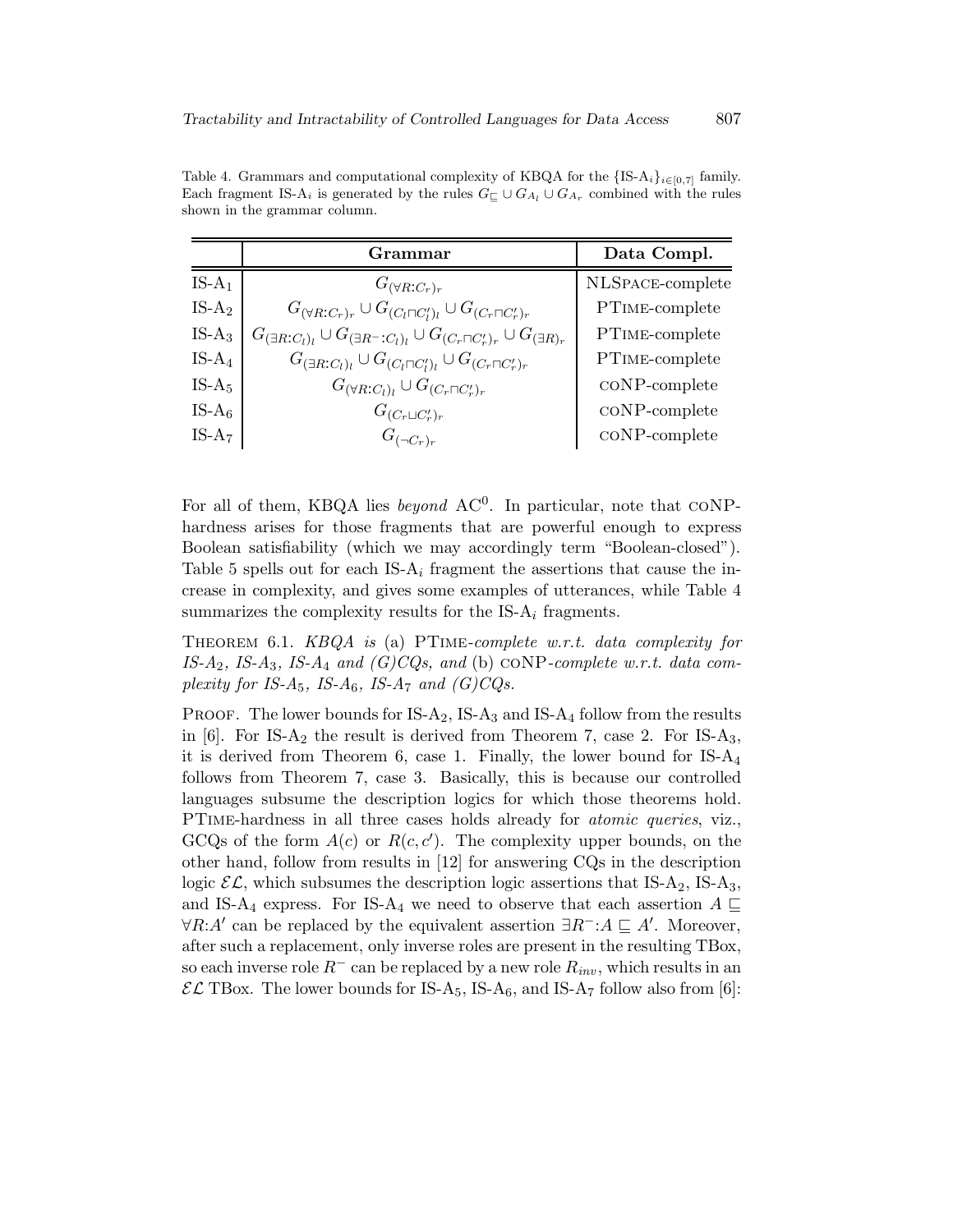Table 4. Grammars and computational complexity of KBQA for the  ${IS-A_i}_{i\in[0,7]}$  family. Each fragment IS-A<sub>i</sub> is generated by the rules  $G \subseteq \cup G_{A_l} \cup G_{A_r}$  combined with the rules shown in the grammar column.

|           | Grammar                                                                                                    | Data Compl.               |
|-----------|------------------------------------------------------------------------------------------------------------|---------------------------|
| $IS-A_1$  | $G_{(\forall R:C_r)_r}$                                                                                    | NLSPACE-complete          |
| $IS-A2$   | $G_{(\forall R:C_r)_r} \cup G_{(C_l \sqcap C_l')_l} \cup G_{(C_r \sqcap C_r')_r}$                          | PTIME-complete            |
| $IS-A_3$  | $G_{(\exists R:C_l)_l} \cup G_{(\exists R^{-}:C_l)_l} \cup G_{(C_r \sqcap C'_r)_r} \cup G_{(\exists R)_r}$ | PTIME-complete            |
| IS- $A_4$ | $G_{(\exists R:C_l)_l} \cup G_{(C_l \sqcap C_l')_l} \cup G_{(C_r \sqcap C_r')_r}$                          | PTIME-complete            |
| $IS-A5$   | $G_{(\forall R:C_l)_l} \cup G_{(C_r \sqcap C'_r)_r}$                                                       | $\mathrm{coNP}$ -complete |
| IS- $A_6$ | $G_{(C_r \sqcup C'_r)_r}$                                                                                  | $\mathrm{coNP}$ -complete |
| $IS-A7$   | $G_{(\neg C_r)_r}$                                                                                         | $coNP-complete$           |

For all of them, KBQA lies *beyond*  $AC^0$ . In particular, note that CONPhardness arises for those fragments that are powerful enough to express Boolean satisfiability (which we may accordingly term "Boolean-closed"). Table 5 spells out for each IS- $A_i$  fragment the assertions that cause the increase in complexity, and gives some examples of utterances, while Table 4 summarizes the complexity results for the  $IS-A_i$  fragments.

Theorem 6.1. KBQA is (a) PTime-complete w.r.t. data complexity for IS-A<sub>2</sub>, IS-A<sub>3</sub>, IS-A<sub>4</sub> and  $(G)CQs$ , and (b) coNP-complete w.r.t. data complexity for IS-A<sub>5</sub>, IS-A<sub>6</sub>, IS-A<sub>7</sub> and  $(G)CQs$ .

PROOF. The lower bounds for  $IS-A_2$ ,  $IS-A_3$  and  $IS-A_4$  follow from the results in  $[6]$ . For IS-A<sub>2</sub> the result is derived from Theorem 7, case 2. For IS-A<sub>3</sub>, it is derived from Theorem 6, case 1. Finally, the lower bound for  $IS-A_4$ follows from Theorem 7, case 3. Basically, this is because our controlled languages subsume the description logics for which those theorems hold. PTime-hardness in all three cases holds already for atomic queries, viz., GCQs of the form  $A(c)$  or  $R(c, c')$ . The complexity upper bounds, on the other hand, follow from results in [12] for answering CQs in the description logic  $\mathcal{EL}$ , which subsumes the description logic assertions that IS-A<sub>2</sub>, IS-A<sub>3</sub>, and IS-A<sub>4</sub> express. For IS-A<sub>4</sub> we need to observe that each assertion  $A \subseteq$  $\forall R:A'$  can be replaced by the equivalent assertion  $\exists R^-:A \sqsubseteq A'$ . Moreover, after such a replacement, only inverse roles are present in the resulting TBox, so each inverse role  $R^-$  can be replaced by a new role  $R_{inv}$ , which results in an  $\mathcal{EL}$  TBox. The lower bounds for IS-A<sub>5</sub>, IS-A<sub>6</sub>, and IS-A<sub>7</sub> follow also from [6]: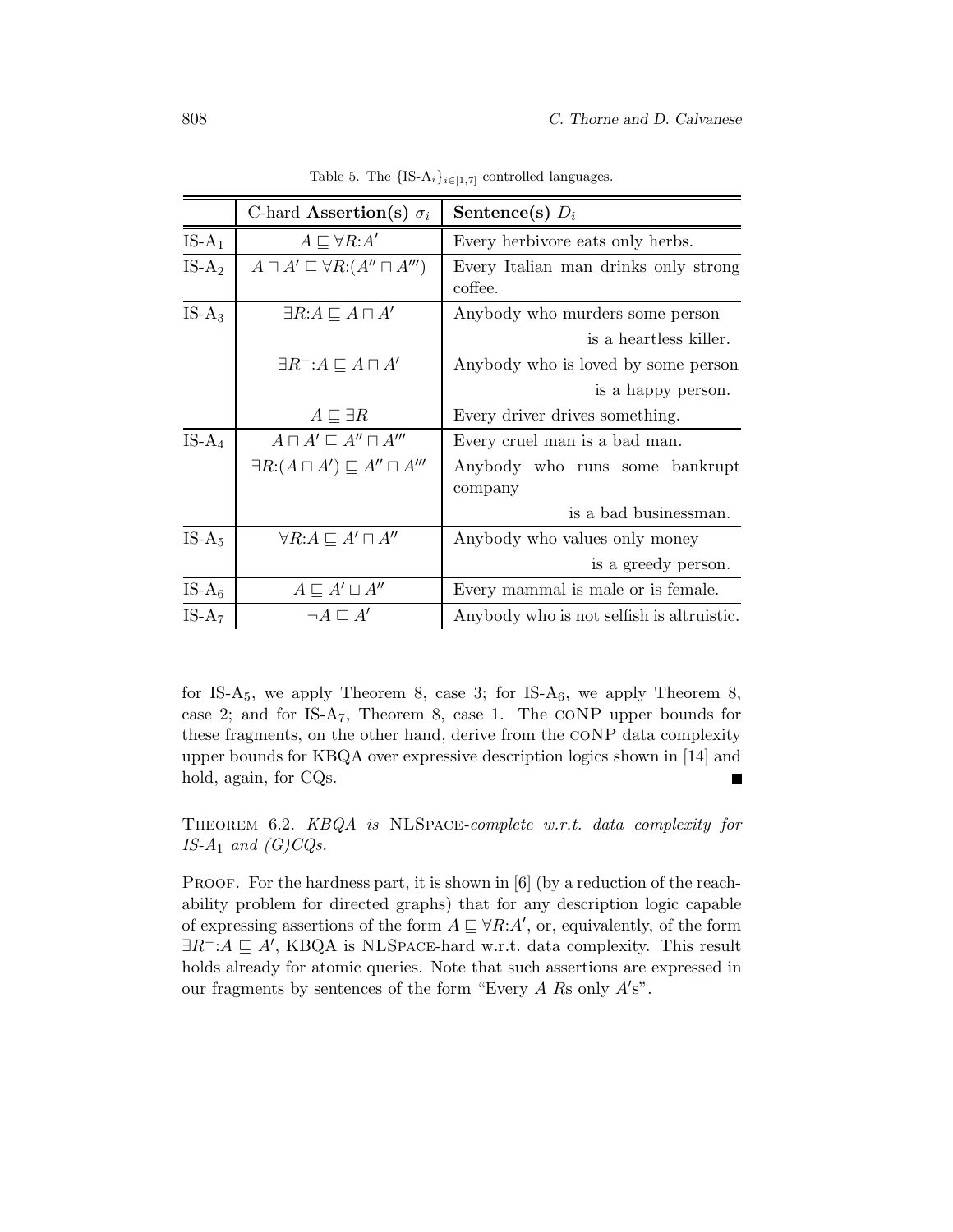|           | C-hard <b>Assertion</b> (s) $\sigma_i$                 | Sentence(s) $D_i$                               |
|-----------|--------------------------------------------------------|-------------------------------------------------|
| $IS-A_1$  | $A \sqsubset \forall R:A'$                             | Every herbivore eats only herbs.                |
| $IS-A2$   | $A \sqcap A' \sqsubseteq \forall R: (A'' \sqcap A''')$ | Every Italian man drinks only strong<br>coffee. |
| $IS-A_3$  | $\exists R:A \sqsubseteq A \sqcap A'$                  | Anybody who murders some person                 |
|           |                                                        | is a heartless killer.                          |
|           | $\exists R^-: A \sqsubseteq A \sqcap A'$               | Anybody who is loved by some person             |
|           |                                                        | is a happy person.                              |
|           | $A \sqsubseteq \exists R$                              | Every driver drives something.                  |
| $IS-A_4$  | $A \sqcap A' \sqsubseteq A'' \sqcap A'''$              | Every cruel man is a bad man.                   |
|           | $\exists R: (A \sqcap A') \sqsubseteq A'' \sqcap A'''$ | Anybody who runs some bankrupt<br>company       |
|           |                                                        | is a bad businessman.                           |
| $IS-A5$   | $\forall R:A \sqsubseteq A' \sqcap A''$                | Anybody who values only money                   |
|           |                                                        | is a greedy person.                             |
| IS- $A_6$ | $A \sqsubseteq A' \sqcup A''$                          | Every mammal is male or is female.              |
| $IS-A_7$  | $\neg A \sqsubseteq A'$                                | Anybody who is not selfish is altruistic.       |

Table 5. The  $\{IS-A_i\}_{i\in[1,7]}$  controlled languages.

for IS-A<sub>5</sub>, we apply Theorem 8, case 3; for IS-A<sub>6</sub>, we apply Theorem 8, case 2; and for  $IS-A_7$ , Theorem 8, case 1. The CONP upper bounds for these fragments, on the other hand, derive from the coNP data complexity upper bounds for KBQA over expressive description logics shown in [14] and hold, again, for CQs.  $\blacksquare$ 

Theorem 6.2. KBQA is NLSpace-complete w.r.t. data complexity for IS- $A_1$  and  $(G)CQs$ .

PROOF. For the hardness part, it is shown in [6] (by a reduction of the reachability problem for directed graphs) that for any description logic capable of expressing assertions of the form  $A \sqsubseteq \forall R:A',$  or, equivalently, of the form  $\exists R^-: A \sqsubseteq A'$ , KBQA is NLSPACE-hard w.r.t. data complexity. This result holds already for atomic queries. Note that such assertions are expressed in our fragments by sentences of the form "Every  $A$   $R_s$  only  $A's$ ".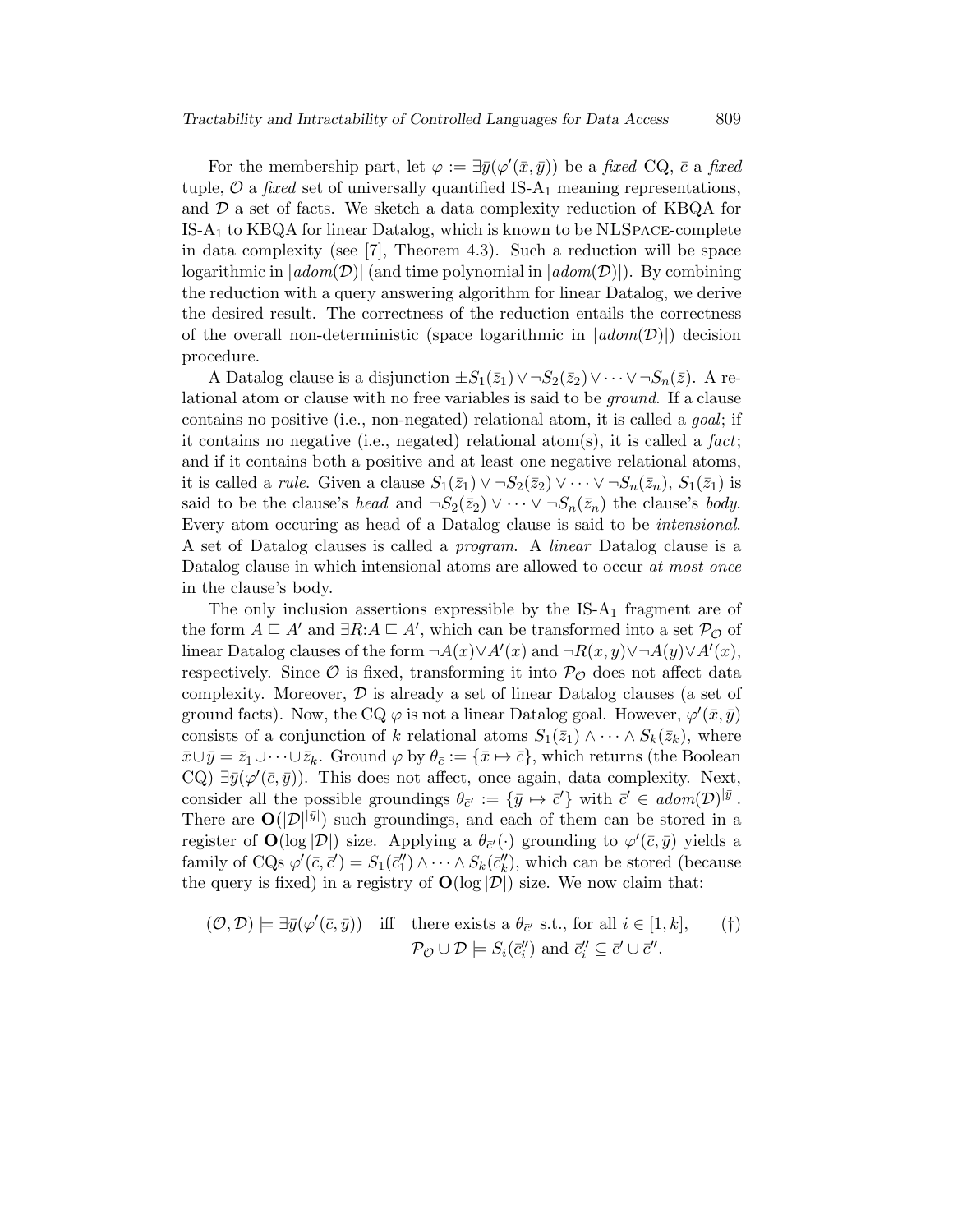For the membership part, let  $\varphi := \exists \bar{y}(\varphi'(\bar{x}, \bar{y}))$  be a fixed CQ,  $\bar{c}$  a fixed tuple,  $\mathcal{O}$  a *fixed* set of universally quantified IS-A<sub>1</sub> meaning representations, and  $\mathcal D$  a set of facts. We sketch a data complexity reduction of KBQA for IS-A<sup>1</sup> to KBQA for linear Datalog, which is known to be NLSpace-complete in data complexity (see [7], Theorem 4.3). Such a reduction will be space logarithmic in  $|adom(\mathcal{D})|$  (and time polynomial in  $|adom(\mathcal{D})|$ ). By combining the reduction with a query answering algorithm for linear Datalog, we derive the desired result. The correctness of the reduction entails the correctness of the overall non-deterministic (space logarithmic in  $|adom(\mathcal{D})|$ ) decision procedure.

A Datalog clause is a disjunction  $\pm S_1(\bar{z}_1) \vee \neg S_2(\bar{z}_2) \vee \cdots \vee \neg S_n(\bar{z})$ . A relational atom or clause with no free variables is said to be ground. If a clause contains no positive (i.e., non-negated) relational atom, it is called a goal; if it contains no negative (i.e., negated) relational atom(s), it is called a fact; and if it contains both a positive and at least one negative relational atoms, it is called a *rule*. Given a clause  $S_1(\bar{z}_1) \vee \neg S_2(\bar{z}_2) \vee \cdots \vee \neg S_n(\bar{z}_n)$ ,  $S_1(\bar{z}_1)$  is said to be the clause's head and  $\neg S_2(\bar{z}_2) \vee \cdots \vee \neg S_n(\bar{z}_n)$  the clause's body. Every atom occuring as head of a Datalog clause is said to be intensional. A set of Datalog clauses is called a program. A linear Datalog clause is a Datalog clause in which intensional atoms are allowed to occur at most once in the clause's body.

The only inclusion assertions expressible by the  $IS-A_1$  fragment are of the form  $A \sqsubseteq A'$  and  $\exists R:A \sqsubseteq A'$ , which can be transformed into a set  $\mathcal{P}_{\mathcal{O}}$  of linear Datalog clauses of the form  $\neg A(x) \lor A'(x)$  and  $\neg R(x,y) \lor \neg A(y) \lor A'(x)$ , respectively. Since  $\mathcal O$  is fixed, transforming it into  $\mathcal P_{\mathcal O}$  does not affect data complexity. Moreover,  $\mathcal{D}$  is already a set of linear Datalog clauses (a set of ground facts). Now, the CQ  $\varphi$  is not a linear Datalog goal. However,  $\varphi'(\bar{x}, \bar{y})$ consists of a conjunction of k relational atoms  $S_1(\bar{z}_1) \wedge \cdots \wedge S_k(\bar{z}_k)$ , where  $\bar{x}\cup\bar{y}=\bar{z}_1\cup\cdots\cup\bar{z}_k$ . Ground  $\varphi$  by  $\theta_{\bar{c}}:=\{\bar{x}\mapsto\bar{c}\}\,$ , which returns (the Boolean CQ)  $\exists \bar{y}(\varphi'(\bar{c}, \bar{y}))$ . This does not affect, once again, data complexity. Next, consider all the possible groundings  $\theta_{\vec{c}'} := {\{\bar{y} \mapsto \vec{c}'\}}$  with  $\vec{c}' \in \text{adom}(\mathcal{D})^{|\bar{y}|}$ . There are  $O(|\mathcal{D}|^{|\bar{y}|})$  such groundings, and each of them can be stored in a register of  $\mathbf{O}(\log |\mathcal{D}|)$  size. Applying a  $\theta_{\bar{c}'}(\cdot)$  grounding to  $\varphi'(\bar{c}, \bar{y})$  yields a family of CQs  $\varphi'(\bar{c}, \bar{c}') = S_1(\bar{c}_1'') \wedge \cdots \wedge S_k(\bar{c}_k'')$ , which can be stored (because the query is fixed) in a registry of  $O(\log |\mathcal{D}|)$  size. We now claim that:

$$
(\mathcal{O}, \mathcal{D}) \models \exists \bar{y}(\varphi'(\bar{c}, \bar{y})) \quad \text{iff} \quad \text{there exists a } \theta_{\bar{c}'} \text{ s.t., for all } i \in [1, k], \qquad (\dagger)
$$
\n
$$
\mathcal{P}_{\mathcal{O}} \cup \mathcal{D} \models S_i(\bar{c}_i'') \text{ and } \bar{c}_i' \subseteq \bar{c}' \cup \bar{c}'.
$$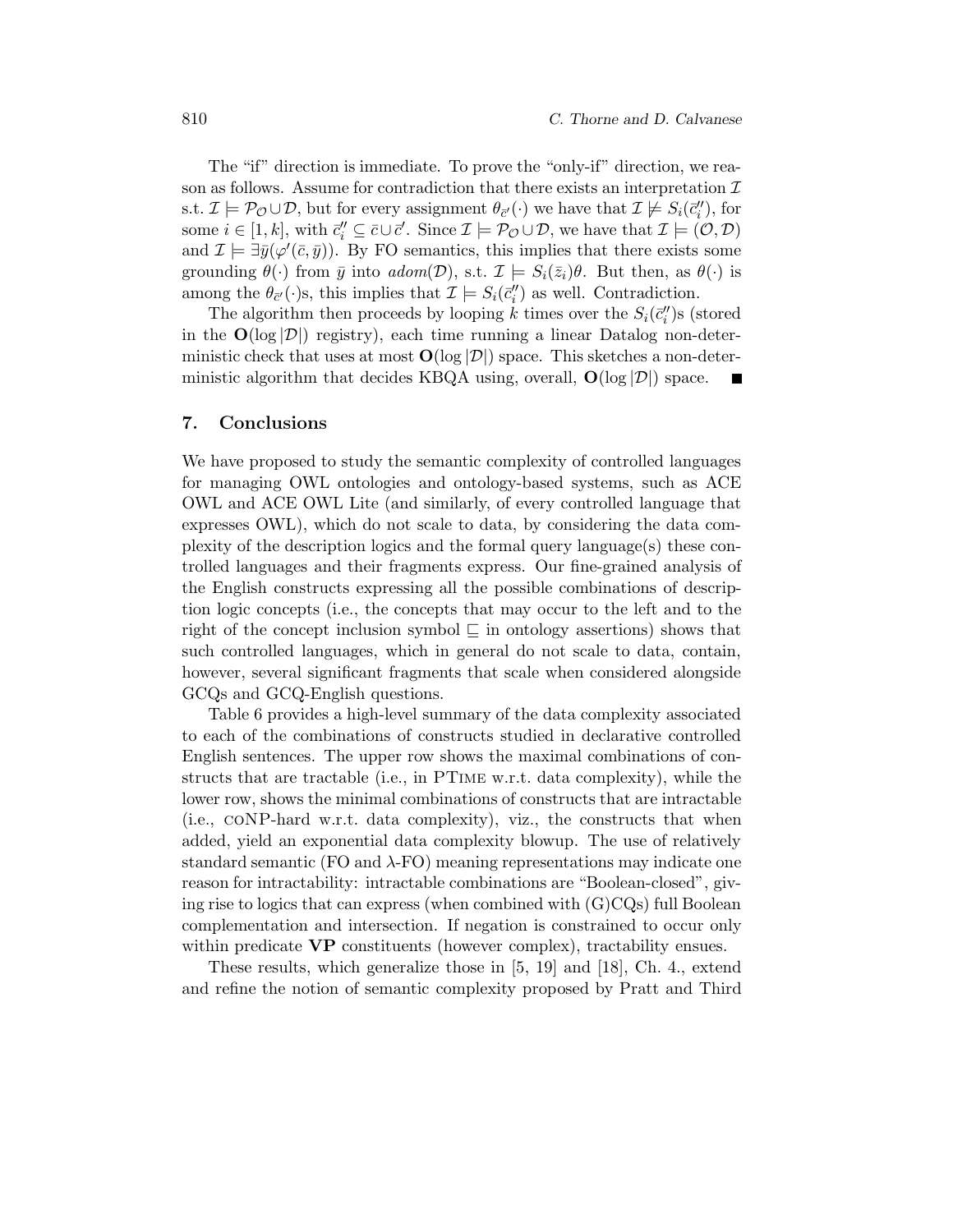The "if" direction is immediate. To prove the "only-if" direction, we reason as follows. Assume for contradiction that there exists an interpretation  $\mathcal I$ s.t.  $\mathcal{I} \models \mathcal{P}_{\mathcal{O}} \cup \mathcal{D}$ , but for every assignment  $\theta_{\bar{c}'}(\cdot)$  we have that  $\mathcal{I} \not\models S_i(\bar{c}_i'')$ , for some  $i \in [1, k]$ , with  $\bar{c}_i'' \subseteq \bar{c} \cup \bar{c}'$ . Since  $\mathcal{I} \models \mathcal{P}_{\mathcal{O}} \cup \mathcal{D}$ , we have that  $\mathcal{I} \models (\mathcal{O}, \mathcal{D})$ and  $\mathcal{I} \models \exists \bar{y}(\varphi'(\bar{c}, \bar{y}))$ . By FO semantics, this implies that there exists some grounding  $\theta(\cdot)$  from  $\bar{y}$  into  $\alpha \text{dom}(\mathcal{D})$ , s.t.  $\mathcal{I} \models S_i(\bar{z}_i)\theta$ . But then, as  $\theta(\cdot)$  is among the  $\theta_{\bar{c}'}(\cdot)$ s, this implies that  $\mathcal{I} \models S_i(\bar{c}_i'')$  as well. Contradiction.

The algorithm then proceeds by looping k times over the  $S_i(\bar{c}_i'')$  (stored in the  $\mathbf{O}(\log |\mathcal{D}|)$  registry), each time running a linear Datalog non-deterministic check that uses at most  $O(\log |\mathcal{D}|)$  space. This sketches a non-deterministic algorithm that decides KBQA using, overall,  $O(\log |\mathcal{D}|)$  space.

#### 7. Conclusions

We have proposed to study the semantic complexity of controlled languages for managing OWL ontologies and ontology-based systems, such as ACE OWL and ACE OWL Lite (and similarly, of every controlled language that expresses OWL), which do not scale to data, by considering the data complexity of the description logics and the formal query language(s) these controlled languages and their fragments express. Our fine-grained analysis of the English constructs expressing all the possible combinations of description logic concepts (i.e., the concepts that may occur to the left and to the right of the concept inclusion symbol  $\subseteq$  in ontology assertions) shows that such controlled languages, which in general do not scale to data, contain, however, several significant fragments that scale when considered alongside GCQs and GCQ-English questions.

Table 6 provides a high-level summary of the data complexity associated to each of the combinations of constructs studied in declarative controlled English sentences. The upper row shows the maximal combinations of constructs that are tractable (i.e., in PTime w.r.t. data complexity), while the lower row, shows the minimal combinations of constructs that are intractable (i.e., coNP-hard w.r.t. data complexity), viz., the constructs that when added, yield an exponential data complexity blowup. The use of relatively standard semantic (FO and  $\lambda$ -FO) meaning representations may indicate one reason for intractability: intractable combinations are "Boolean-closed", giving rise to logics that can express (when combined with (G)CQs) full Boolean complementation and intersection. If negation is constrained to occur only within predicate **VP** constituents (however complex), tractability ensues.

These results, which generalize those in [5, 19] and [18], Ch. 4., extend and refine the notion of semantic complexity proposed by Pratt and Third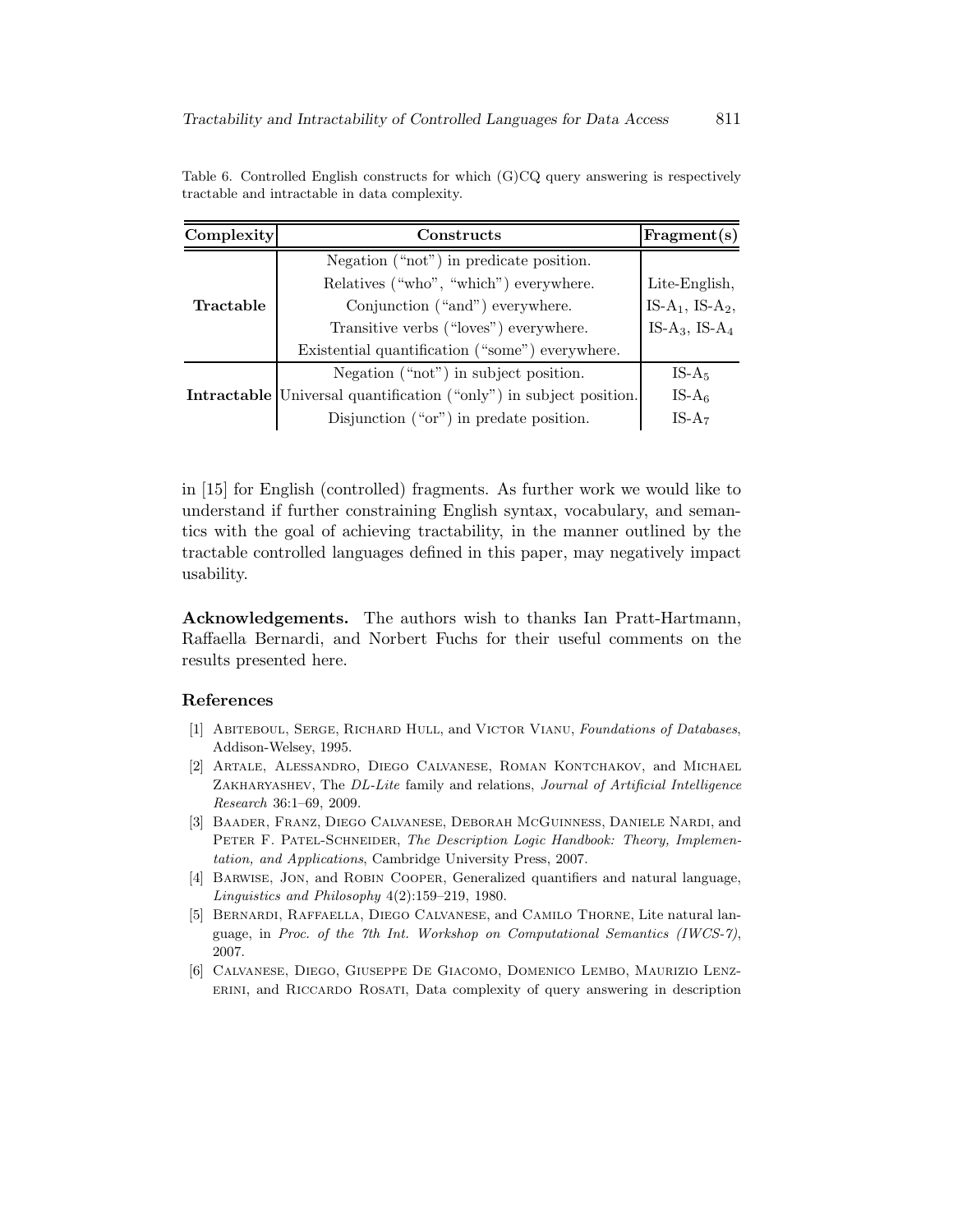| Complexity | Constructs                                                                | Fragment(s)                             |
|------------|---------------------------------------------------------------------------|-----------------------------------------|
|            | Negation ("not") in predicate position.                                   |                                         |
|            | Relatives ("who", "which") everywhere.                                    | Lite-English,                           |
| Tractable  | Conjunction ("and") everywhere.                                           | IS-A <sub>1</sub> , IS-A <sub>2</sub> , |
|            | Transitive verbs ("loves") everywhere.                                    | IS-A <sub>3</sub> , IS-A <sub>4</sub>   |
|            | Existential quantification ("some") everywhere.                           |                                         |
|            | Negation ("not") in subject position.                                     | $IS-A5$                                 |
|            | <b>Intractable</b> Universal quantification ("only") in subject position. | IS- $A_6$                               |
|            | Disjunction $("or")$ in predate position.                                 | $IS-A7$                                 |

Table 6. Controlled English constructs for which (G)CQ query answering is respectively tractable and intractable in data complexity.

in [15] for English (controlled) fragments. As further work we would like to understand if further constraining English syntax, vocabulary, and semantics with the goal of achieving tractability, in the manner outlined by the tractable controlled languages defined in this paper, may negatively impact usability.

Acknowledgements. The authors wish to thanks Ian Pratt-Hartmann, Raffaella Bernardi, and Norbert Fuchs for their useful comments on the results presented here.

### References

- [1] ABITEBOUL, SERGE, RICHARD HULL, and VICTOR VIANU, Foundations of Databases, Addison-Welsey, 1995.
- [2] Artale, Alessandro, Diego Calvanese, Roman Kontchakov, and Michael ZAKHARYASHEV, The DL-Lite family and relations, Journal of Artificial Intelligence Research 36:1–69, 2009.
- [3] Baader, Franz, Diego Calvanese, Deborah McGuinness, Daniele Nardi, and PETER F. PATEL-SCHNEIDER, The Description Logic Handbook: Theory, Implementation, and Applications, Cambridge University Press, 2007.
- [4] Barwise, Jon, and Robin Cooper, Generalized quantifiers and natural language, Linguistics and Philosophy 4(2):159–219, 1980.
- [5] Bernardi, Raffaella, Diego Calvanese, and Camilo Thorne, Lite natural language, in Proc. of the 7th Int. Workshop on Computational Semantics (IWCS-7), 2007.
- [6] Calvanese, Diego, Giuseppe De Giacomo, Domenico Lembo, Maurizio Lenzerini, and Riccardo Rosati, Data complexity of query answering in description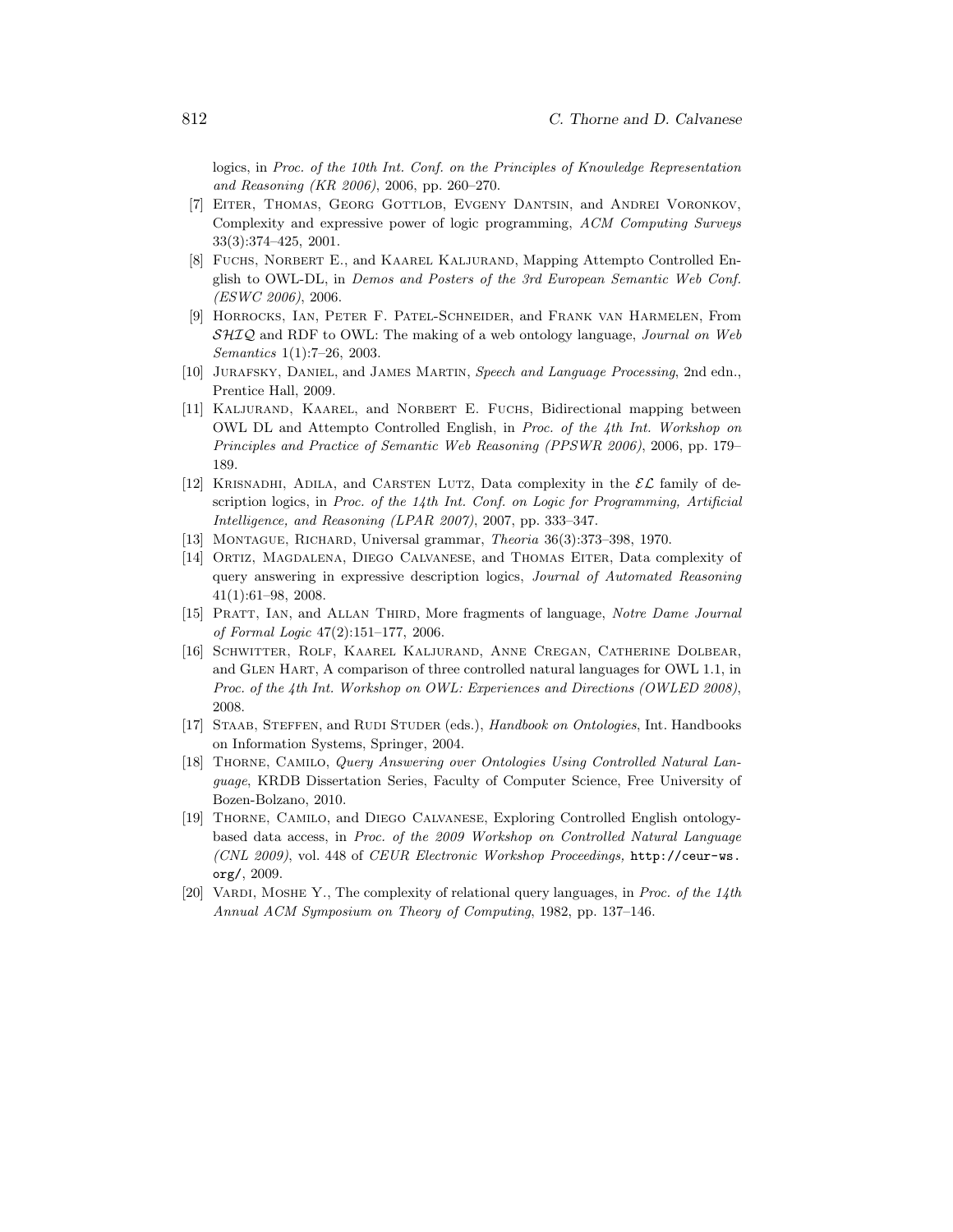logics, in Proc. of the 10th Int. Conf. on the Principles of Knowledge Representation and Reasoning (KR 2006), 2006, pp. 260–270.

- [7] Eiter, Thomas, Georg Gottlob, Evgeny Dantsin, and Andrei Voronkov, Complexity and expressive power of logic programming, ACM Computing Surveys 33(3):374–425, 2001.
- [8] Fuchs, Norbert E., and Kaarel Kaljurand, Mapping Attempto Controlled English to OWL-DL, in Demos and Posters of the 3rd European Semantic Web Conf. (ESWC 2006), 2006.
- [9] Horrocks, Ian, Peter F. Patel-Schneider, and Frank van Harmelen, From  $\mathcal{SHIQ}$  and RDF to OWL: The making of a web ontology language, *Journal on Web* Semantics 1(1):7–26, 2003.
- [10] Jurafsky, Daniel, and James Martin, Speech and Language Processing, 2nd edn., Prentice Hall, 2009.
- [11] Kaljurand, Kaarel, and Norbert E. Fuchs, Bidirectional mapping between OWL DL and Attempto Controlled English, in Proc. of the 4th Int. Workshop on Principles and Practice of Semantic Web Reasoning (PPSWR 2006), 2006, pp. 179– 189.
- [12] KRISNADHI, ADILA, and CARSTEN LUTZ, Data complexity in the  $\mathcal{EL}$  family of description logics, in Proc. of the  $14th$  Int. Conf. on Logic for Programming, Artificial Intelligence, and Reasoning (LPAR 2007), 2007, pp. 333–347.
- [13] MONTAGUE, RICHARD, Universal grammar, *Theoria* 36(3):373-398, 1970.
- [14] Ortiz, Magdalena, Diego Calvanese, and Thomas Eiter, Data complexity of query answering in expressive description logics, Journal of Automated Reasoning 41(1):61–98, 2008.
- [15] PRATT, IAN, and ALLAN THIRD, More fragments of language, Notre Dame Journal of Formal Logic 47(2):151–177, 2006.
- [16] Schwitter, Rolf, Kaarel Kaljurand, Anne Cregan, Catherine Dolbear, and Glen Hart, A comparison of three controlled natural languages for OWL 1.1, in Proc. of the 4th Int. Workshop on OWL: Experiences and Directions (OWLED 2008), 2008.
- [17] STAAB, STEFFEN, and RUDI STUDER (eds.), Handbook on Ontologies, Int. Handbooks on Information Systems, Springer, 2004.
- [18] Thorne, Camilo, Query Answering over Ontologies Using Controlled Natural Language, KRDB Dissertation Series, Faculty of Computer Science, Free University of Bozen-Bolzano, 2010.
- [19] Thorne, Camilo, and Diego Calvanese, Exploring Controlled English ontologybased data access, in Proc. of the 2009 Workshop on Controlled Natural Language (CNL 2009), vol. 448 of CEUR Electronic Workshop Proceedings, http://ceur-ws. org/, 2009.
- [20] VARDI, MOSHE Y., The complexity of relational query languages, in Proc. of the  $14$ th Annual ACM Symposium on Theory of Computing, 1982, pp. 137–146.